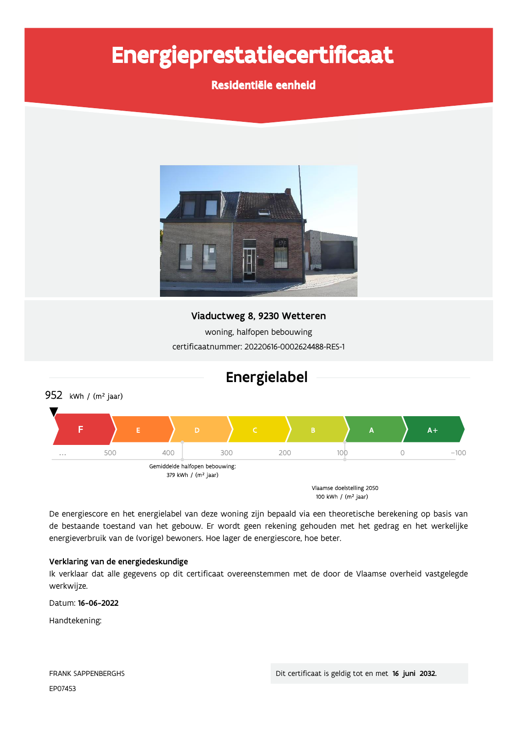# Energieprestatiecertificaat

## Residentiële eenheid



## Viaductweg 8, 9230 Wetteren

woning, halfopen bebouwing certificaatnummer: 20220616-0002624488-RES-1



De energiescore en het energielabel van deze woning zijn bepaald via een theoretische berekening op basis van de bestaande toestand van het gebouw. Er wordt geen rekening gehouden met het gedrag en het werkelijke energieverbruik van de (vorige) bewoners. Hoe lager de energiescore, hoe beter.

### Verklaring van de energiedeskundige

Ik verklaar dat alle gegevens op dit certificaat overeenstemmen met de door de Vlaamse overheid vastgelegde werkwijze.

Datum: 16-06-2022

Handtekening: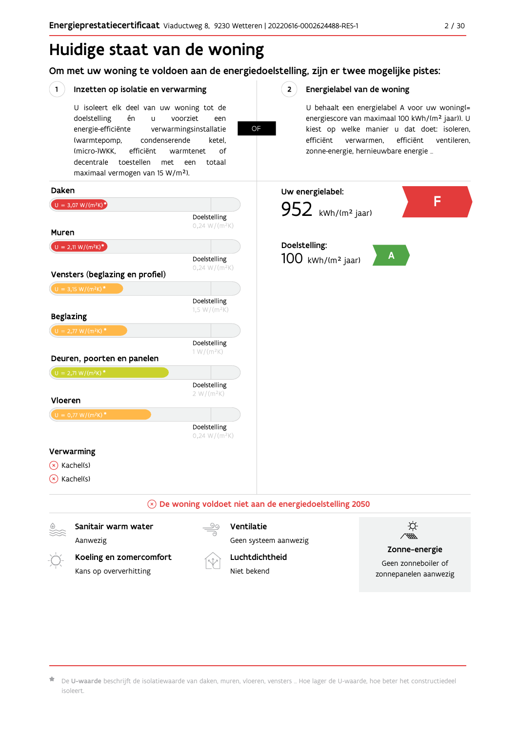## Huidige staat van de woning

Om met uw woning te voldoen aan de energiedoelstelling, zijn er twee mogelijke pistes:

**OF** 

#### $(1)$ Inzetten op isolatie en verwarming

U isoleert elk deel van uw woning tot de doelstelling én  $\mathbf{u}$ voorziet een energie-efficiënte verwarmingsinstallatie (warmtepomp, condenserende ketel. (micro-)WKK. efficiënt warmtenet  $\bigcap_{ }$ decentrale toestellen met een totaal maximaal vermogen van 15 W/m<sup>2</sup>).

 $2^{\circ}$ Energielabel van de woning

> U behaalt een energielabel A voor uw woning(= energiescore van maximaal 100 kWh/(m<sup>2</sup> jaar)). U kiest op welke manier u dat doet: isoleren, efficiënt ventileren, efficiënt verwarmen, zonne-energie, hernieuwbare energie ...



De U-waarde beschrijft de isolatiewaarde van daken, muren, vloeren, vensters ... Hoe lager de U-waarde, hoe beter het constructiedeel isoleert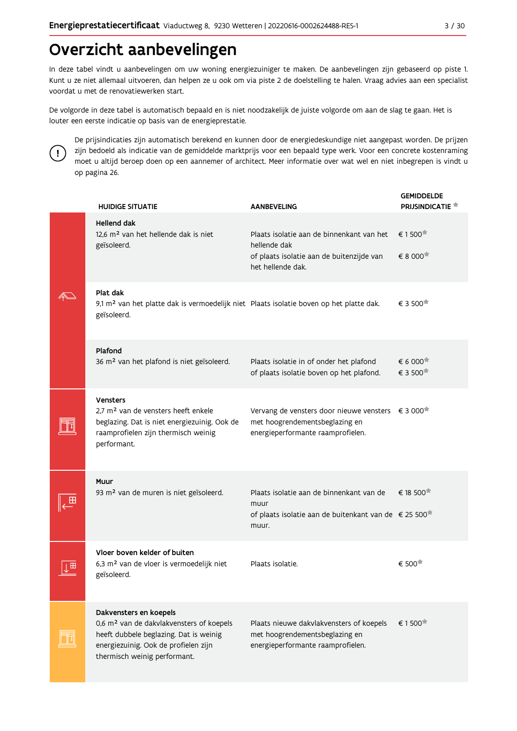## Overzicht aanbevelingen

In deze tabel vindt u aanbevelingen om uw woning energiezuiniger te maken. De aanbevelingen zijn gebaseerd op piste 1. Kunt u ze niet allemaal uitvoeren, dan helpen ze u ook om via piste 2 de doelstelling te halen. Vraag advies aan een specialist voordat u met de renovatiewerken start.

De volgorde in deze tabel is automatisch bepaald en is niet noodzakelijk de juiste volgorde om aan de slag te gaan. Het is louter een eerste indicatie op basis van de energieprestatie.



De prijsindicaties zijn automatisch berekend en kunnen door de energiedeskundige niet aangepast worden. De prijzen zijn bedoeld als indicatie van de gemiddelde marktprijs voor een bepaald type werk. Voor een concrete kostenraming moet u altijd beroep doen op een aannemer of architect. Meer informatie over wat wel en niet inbegrepen is vindt u op pagina 26.

|  | <b>HUIDIGE SITUATIE</b>                                                                                                                                                                          | <b>AANBEVELING</b>                                                                                                                            | <b>GEMIDDELDE</b><br><b>PRIJSINDICATIE</b>                |
|--|--------------------------------------------------------------------------------------------------------------------------------------------------------------------------------------------------|-----------------------------------------------------------------------------------------------------------------------------------------------|-----------------------------------------------------------|
|  | <b>Hellend dak</b><br>12,6 m <sup>2</sup> van het hellende dak is niet<br>geïsoleerd.                                                                                                            | Plaats isolatie aan de binnenkant van het<br>hellende dak<br>of plaats isolatie aan de buitenzijde van<br>het hellende dak.                   | € 1500 <sup>★</sup><br>€ 8 000                            |
|  | Plat dak<br>9,1 m <sup>2</sup> van het platte dak is vermoedelijk niet Plaats isolatie boven op het platte dak.<br>geïsoleerd.                                                                   |                                                                                                                                               | € 3 500 <sup>★</sup>                                      |
|  | Plafond<br>36 m <sup>2</sup> van het plafond is niet geïsoleerd.                                                                                                                                 | Plaats isolatie in of onder het plafond<br>of plaats isolatie boven op het plafond.                                                           | $\epsilon$ 6 000 <sup><math>\star</math></sup><br>€ 3 500 |
|  | <b>Vensters</b><br>2,7 m <sup>2</sup> van de vensters heeft enkele<br>beglazing. Dat is niet energiezuinig. Ook de<br>raamprofielen zijn thermisch weinig<br>performant.                         | Vervang de vensters door nieuwe vensters $\epsilon$ 3 000 <sup>*</sup><br>met hoogrendementsbeglazing en<br>energieperformante raamprofielen. |                                                           |
|  | Muur<br>93 m <sup>2</sup> van de muren is niet geïsoleerd.                                                                                                                                       | Plaats isolatie aan de binnenkant van de<br>muur<br>of plaats isolatie aan de buitenkant van de € 25 500 <sup>*</sup><br>muur.                | € 18 500                                                  |
|  | Vloer boven kelder of buiten<br>6,3 m <sup>2</sup> van de vloer is vermoedelijk niet<br>geïsoleerd.                                                                                              | Plaats isolatie.                                                                                                                              | € 500                                                     |
|  | Dakvensters en koepels<br>0,6 m <sup>2</sup> van de dakvlakvensters of koepels<br>heeft dubbele beglazing. Dat is weinig<br>energiezuinig. Ook de profielen zijn<br>thermisch weinig performant. | Plaats nieuwe dakvlakvensters of koepels<br>met hoogrendementsbeglazing en<br>energieperformante raamprofielen.                               | € 1500 <sup>★</sup>                                       |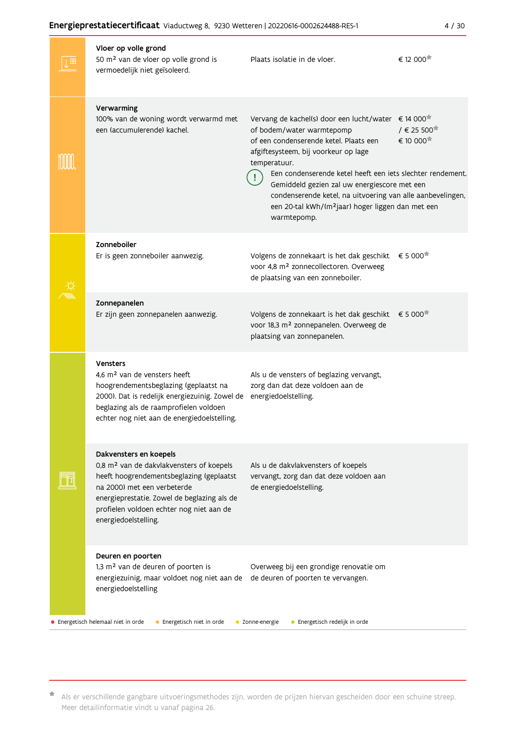#### ů.  $\ddot{\cdot}$  $\ddotsc$ En

÷

|  | nergieprestatiecertificaat Viaductweg 8, 9230 Wetteren   20220616-0002624488-RES-1                                                                                                                                                                                           |                                                                                                                                                                                                                                                                                                                                                                                                                                      | 4/30                                                                      |
|--|------------------------------------------------------------------------------------------------------------------------------------------------------------------------------------------------------------------------------------------------------------------------------|--------------------------------------------------------------------------------------------------------------------------------------------------------------------------------------------------------------------------------------------------------------------------------------------------------------------------------------------------------------------------------------------------------------------------------------|---------------------------------------------------------------------------|
|  | Vloer op volle grond<br>50 m <sup>2</sup> van de vloer op volle grond is<br>vermoedelijk niet geïsoleerd.                                                                                                                                                                    | Plaats isolatie in de vloer.                                                                                                                                                                                                                                                                                                                                                                                                         | € 12 000 <sup>★</sup>                                                     |
|  | Verwarming<br>100% van de woning wordt verwarmd met<br>een (accumulerende) kachel.                                                                                                                                                                                           | Vervang de kachel(s) door een lucht/water<br>of bodem/water warmtepomp<br>of een condenserende ketel. Plaats een<br>afgiftesysteem, bij voorkeur op lage<br>temperatuur.<br>Een condenserende ketel heeft een iets slechter rendement.<br>Gemiddeld gezien zal uw energiescore met een<br>condenserende ketel, na uitvoering van alle aanbevelingen,<br>een 20-tal kWh/(m <sup>2</sup> jaar) hoger liggen dan met een<br>warmtepomp. | € 14 000 <sup>★</sup><br>/ € 25 500 <sup><math>#</math></sup><br>€ 10 000 |
|  | Zonneboiler<br>Er is geen zonneboiler aanwezig.                                                                                                                                                                                                                              | Volgens de zonnekaart is het dak geschikt<br>voor 4,8 m <sup>2</sup> zonnecollectoren. Overweeg<br>de plaatsing van een zonneboiler.                                                                                                                                                                                                                                                                                                 | € 5 000                                                                   |
|  | Zonnepanelen<br>Er zijn geen zonnepanelen aanwezig.                                                                                                                                                                                                                          | Volgens de zonnekaart is het dak geschikt<br>voor 18,3 m <sup>2</sup> zonnepanelen. Overweeg de<br>plaatsing van zonnepanelen.                                                                                                                                                                                                                                                                                                       | € 5 000                                                                   |
|  | <b>Vensters</b><br>4,6 m <sup>2</sup> van de vensters heeft<br>hoogrendementsbeglazing (geplaatst na<br>2000). Dat is redelijk energiezuinig. Zowel de<br>beglazing als de raamprofielen voldoen<br>echter nog niet aan de energiedoelstelling.                              | Als u de vensters of beglazing vervangt,<br>zorg dan dat deze voldoen aan de<br>energiedoelstelling.                                                                                                                                                                                                                                                                                                                                 |                                                                           |
|  | Dakvensters en koepels<br>0,8 m <sup>2</sup> van de dakvlakvensters of koepels<br>heeft hoogrendementsbeglazing (geplaatst<br>na 2000) met een verbeterde<br>energieprestatie. Zowel de beglazing als de<br>profielen voldoen echter nog niet aan de<br>energiedoelstelling. | Als u de dakvlakvensters of koepels<br>vervangt, zorg dan dat deze voldoen aan<br>de energiedoelstelling.                                                                                                                                                                                                                                                                                                                            |                                                                           |
|  | Deuren en poorten<br>1,3 m <sup>2</sup> van de deuren of poorten is<br>energiezuinig, maar voldoet nog niet aan de<br>energiedoelstelling                                                                                                                                    | Overweeg bij een grondige renovatie om<br>de deuren of poorten te vervangen.                                                                                                                                                                                                                                                                                                                                                         |                                                                           |
|  | Energetisch helemaal niet in orde<br>• Energetisch niet in orde                                                                                                                                                                                                              | • Zonne-energie<br>• Energetisch redelijk in orde                                                                                                                                                                                                                                                                                                                                                                                    |                                                                           |

\* Als er verschillende gangbare uitvoeringsmethodes zijn, worden de prijzen hiervan gescheiden door een schuine streep. Meer detailinformatie vindt u vanaf pagina 26.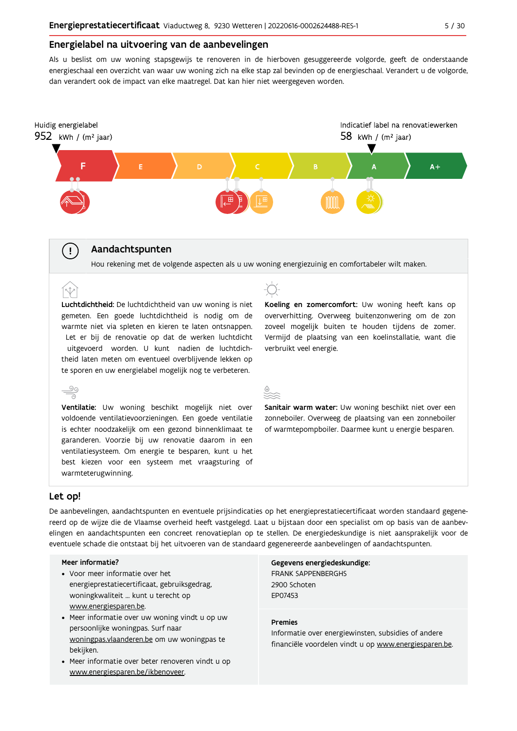#### Energielabel na uitvoering van de aanbevelingen

Als u beslist om uw woning stapsgewijs te renoveren in de hierboven gesuggereerde volgorde, geeft de onderstaande energieschaal een overzicht van waar uw woning zich na elke stap zal bevinden op de energieschaal. Verandert u de volgorde, dan verandert ook de impact van elke maatregel. Dat kan hier niet weergegeven worden.



### Aandachtspunten

Hou rekening met de volgende aspecten als u uw woning energiezuinig en comfortabeler wilt maken.

Luchtdichtheid: De luchtdichtheid van uw woning is niet gemeten. Een goede luchtdichtheid is nodig om de warmte niet via spleten en kieren te laten ontsnappen. Let er bij de renovatie op dat de werken luchtdicht uitgevoerd worden. U kunt nadien de luchtdichtheid laten meten om eventueel overblijvende lekken op te sporen en uw energielabel mogelijk nog te verbeteren.

ನ Ventilatie: Uw woning beschikt mogelijk niet over voldoende ventilatievoorzieningen. Een goede ventilatie is echter noodzakelijk om een gezond binnenklimaat te garanderen. Voorzie bij uw renovatie daarom in een ventilatiesysteem. Om energie te besparen, kunt u het best kiezen voor een systeem met vraagsturing of warmteterugwinning.

Koeling en zomercomfort: Uw woning heeft kans op oververhitting. Overweeg buitenzonwering om de zon zoveel mogelijk buiten te houden tijdens de zomer. Vermijd de plaatsing van een koelinstallatie, want die verbruikt veel energie.

Sanitair warm water: Uw woning beschikt niet over een zonneboiler. Overweeg de plaatsing van een zonneboiler of warmtepompboiler. Daarmee kunt u energie besparen.

#### Let op!

 $\mathbf{I}$ 

[N

<u>90</u>

De aanbevelingen, aandachtspunten en eventuele prijsindicaties op het energieprestatiecertificaat worden standaard gegenereerd op de wijze die de Vlaamse overheid heeft vastgelegd. Laat u bijstaan door een specialist om op basis van de aanbevelingen en aandachtspunten een concreet renovatieplan op te stellen. De energiedeskundige is niet aansprakelijk voor de eventuele schade die ontstaat bij het uitvoeren van de standaard gegenereerde aanbevelingen of aandachtspunten.

#### Meer informatie?

- Voor meer informatie over het energieprestatiecertificaat, gebruiksgedrag, woningkwaliteit ... kunt u terecht op www.energiesparen.be.
- Meer informatie over uw woning vindt u op uw persoonlijke woningpas. Surf naar woningpas.vlaanderen.be om uw woningpas te bekijken.
- Meer informatie over beter renoveren vindt u op www.energiesparen.be/ikbenoveer.

Gegevens energiedeskundige: **FRANK SAPPENBERGHS** 2900 Schoten FP07453

#### **Premies**

Informatie over energiewinsten, subsidies of andere financiële voordelen vindt u op www.energiesparen.be.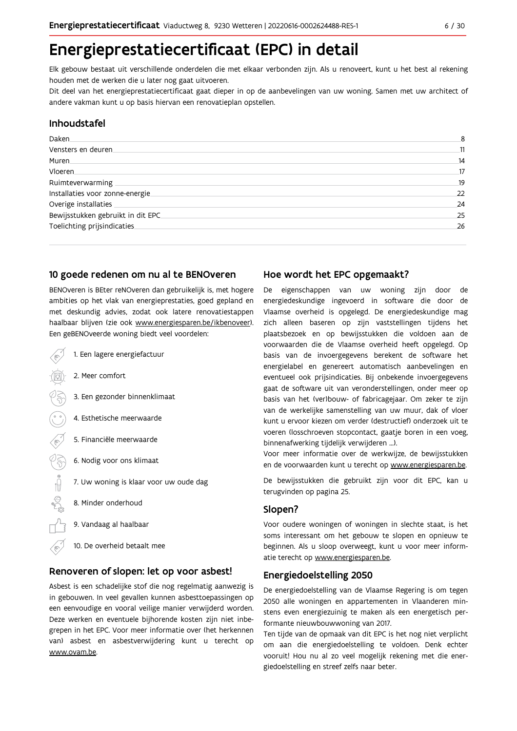## Energieprestatiecertificaat (EPC) in detail

Elk gebouw bestaat uit verschillende onderdelen die met elkaar verbonden zijn. Als u renoveert, kunt u het best al rekening houden met de werken die u later nog gaat uitvoeren.

Dit deel van het energieprestatiecertificaat gaat dieper in op de aanbevelingen van uw woning. Samen met uw architect of andere vakman kunt u op basis hiervan een renovatieplan opstellen.

### Inhoudstafel

| Daken.                            | 8  |
|-----------------------------------|----|
| Vensters en deuren                | 11 |
| Muren.                            | 14 |
| <b>Vloeren</b>                    | 17 |
| Ruimteverwarming                  | 19 |
| Installaties voor zonne-energie.  | 22 |
| Overige installaties              | 24 |
| Bewijsstukken gebruikt in dit EPC | 25 |
| Toelichting prijsindicaties       | 26 |
|                                   |    |

### 10 goede redenen om nu al te BENOveren

BENOveren is BEter reNOveren dan gebruikelijk is, met hogere ambities op het vlak van energieprestaties, goed gepland en met deskundig advies, zodat ook latere renovatiestappen haalbaar blijven (zie ook www.energiesparen.be/ikbenoveer). Een geBENOveerde woning biedt veel voordelen:

1. Een lagere energiefactuur 2. Meer comfort 3. Een gezonder binnenklimaat 4. Esthetische meerwaarde 5. Financiële meerwaarde  $\sqrt{3}$ 6. Nodig voor ons klimaat  $\begin{picture}(180,170)(-210,170)(-210,170)(-210,170)(-210,170)(-210,170)(-210,170)(-210,170)(-210,170)(-210,170)(-210,170)(-210,170)(-210,170)(-210,170)(-210,170)(-210,170)(-210,170)(-210,170)(-210,170)(-210,170)(-210,170)(-210,170)(-210,170)(-210,170)($ 7. Uw woning is klaar voor uw oude dag 8. Minder onderhoud 9. Vandaag al haalbaar 10. De overheid betaalt mee

### Renoveren of slopen: let op voor asbest!

Asbest is een schadelijke stof die nog regelmatig aanwezig is in gebouwen. In veel gevallen kunnen asbesttoepassingen op een eenvoudige en vooral veilige manier verwijderd worden. Deze werken en eventuele bijhorende kosten zijn niet inbegrepen in het EPC. Voor meer informatie over (het herkennen van) asbest en asbestverwijdering kunt u terecht op www.ovam.be.

### Hoe wordt het EPC opgemaakt?

De eigenschappen van uw woning zijn door de energiedeskundige ingevoerd in software die door de Vlaamse overheid is opgelegd. De energiedeskundige mag zich alleen baseren op zijn vaststellingen tijdens het plaatsbezoek en op bewijsstukken die voldoen aan de voorwaarden die de Vlaamse overheid heeft opgelegd. Op basis van de invoergegevens berekent de software het energielabel en genereert automatisch aanbevelingen en eventueel ook prijsindicaties. Bij onbekende invoergegevens gaat de software uit van veronderstellingen, onder meer op basis van het (ver)bouw- of fabricagejaar. Om zeker te zijn van de werkelijke samenstelling van uw muur, dak of vloer kunt u ervoor kiezen om verder (destructief) onderzoek uit te voeren (losschroeven stopcontact, gaatje boren in een voeg, binnenafwerking tijdelijk verwijderen ...).

Voor meer informatie over de werkwijze, de bewijsstukken en de voorwaarden kunt u terecht op www.energiesparen.be.

De bewijsstukken die gebruikt zijn voor dit EPC, kan u terugvinden op pagina 25.

### Slopen?

Voor oudere woningen of woningen in slechte staat, is het soms interessant om het gebouw te slopen en opnieuw te beginnen. Als u sloop overweegt, kunt u voor meer informatie terecht op www.energiesparen.be.

### **Energiedoelstelling 2050**

De energiedoelstelling van de Vlaamse Regering is om tegen 2050 alle woningen en appartementen in Vlaanderen minstens even energiezuinig te maken als een energetisch performante nieuwbouwwoning van 2017.

Ten tijde van de opmaak van dit EPC is het nog niet verplicht om aan die energiedoelstelling te voldoen. Denk echter vooruit! Hou nu al zo veel mogelijk rekening met die energiedoelstelling en streef zelfs naar beter.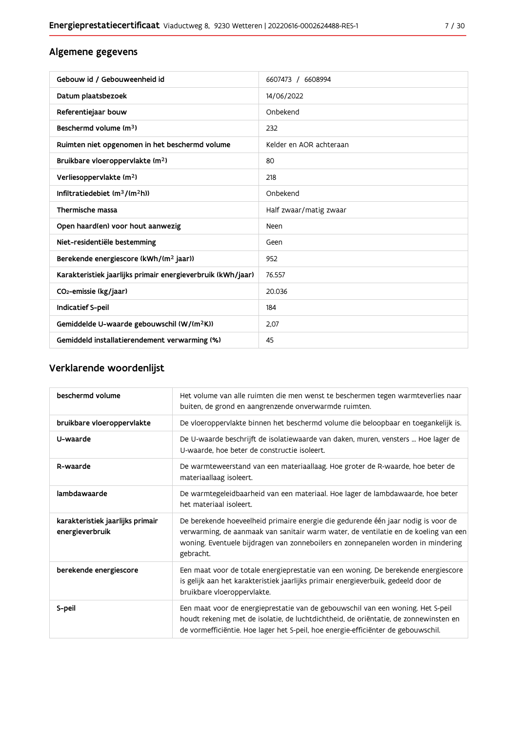## $7/30$

## Algemene gegevens

| Gebouw id / Gebouweenheid id                                | 6607473 / 6608994       |
|-------------------------------------------------------------|-------------------------|
| Datum plaatsbezoek                                          | 14/06/2022              |
| Referentiejaar bouw                                         | Onbekend                |
| Beschermd volume (m <sup>3</sup> )                          | 232                     |
| Ruimten niet opgenomen in het beschermd volume              | Kelder en AOR achteraan |
| Bruikbare vloeroppervlakte (m <sup>2</sup> )                | 80                      |
| Verliesoppervlakte (m <sup>2</sup> )                        | 218                     |
| Infiltratiedebiet $(m^3/(m^2h))$                            | Onbekend                |
| Thermische massa                                            | Half zwaar/matig zwaar  |
| Open haard(en) voor hout aanwezig                           | <b>Neen</b>             |
| Niet-residentiële bestemming                                | Geen                    |
| Berekende energiescore (kWh/(m <sup>2</sup> jaar))          | 952                     |
| Karakteristiek jaarlijks primair energieverbruik (kWh/jaar) | 76.557                  |
| CO2-emissie (kg/jaar)                                       | 20.036                  |
| <b>Indicatief S-peil</b>                                    | 184                     |
| Gemiddelde U-waarde gebouwschil (W/(m <sup>2</sup> K))      | 2.07                    |
| Gemiddeld installatierendement verwarming (%)               | 45                      |

## Verklarende woordenlijst

| beschermd volume                                    | Het volume van alle ruimten die men wenst te beschermen tegen warmteverlies naar<br>buiten, de grond en aangrenzende onverwarmde ruimten.                                                                                                                                 |
|-----------------------------------------------------|---------------------------------------------------------------------------------------------------------------------------------------------------------------------------------------------------------------------------------------------------------------------------|
| bruikbare vloeroppervlakte                          | De vloeroppervlakte binnen het beschermd volume die beloopbaar en toegankelijk is.                                                                                                                                                                                        |
| U-waarde                                            | De U-waarde beschrijft de isolatiewaarde van daken, muren, vensters  Hoe lager de<br>U-waarde, hoe beter de constructie isoleert.                                                                                                                                         |
| R-waarde                                            | De warmteweerstand van een materiaallaag. Hoe groter de R-waarde, hoe beter de<br>materiaallaag isoleert.                                                                                                                                                                 |
| lambdawaarde                                        | De warmtegeleidbaarheid van een materiaal. Hoe lager de lambdawaarde, hoe beter<br>het materiaal isoleert.                                                                                                                                                                |
| karakteristiek jaarlijks primair<br>energieverbruik | De berekende hoeveelheid primaire energie die gedurende één jaar nodig is voor de<br>verwarming, de aanmaak van sanitair warm water, de ventilatie en de koeling van een<br>woning. Eventuele bijdragen van zonneboilers en zonnepanelen worden in mindering<br>gebracht. |
| berekende energiescore                              | Een maat voor de totale energieprestatie van een woning. De berekende energiescore<br>is gelijk aan het karakteristiek jaarlijks primair energieverbuik, gedeeld door de<br>bruikbare vloeroppervlakte.                                                                   |
| S-peil                                              | Een maat voor de energieprestatie van de gebouwschil van een woning. Het S-peil<br>houdt rekening met de isolatie, de luchtdichtheid, de oriëntatie, de zonnewinsten en<br>de vormefficiëntie. Hoe lager het S-peil, hoe energie-efficiënter de gebouwschil.              |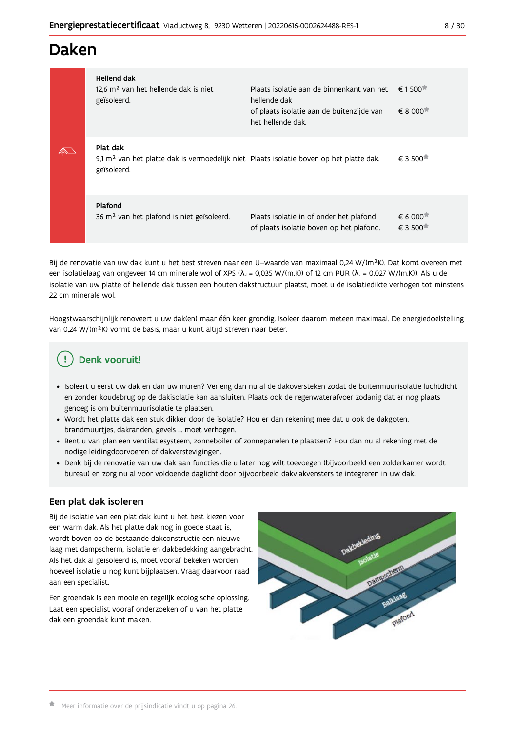## Daken

| Hellend dak<br>12.6 m <sup>2</sup> van het hellende dak is niet<br>geïsoleerd.                                                 | Plaats isolatie aan de binnenkant van het<br>hellende dak<br>of plaats isolatie aan de buitenzijde van<br>het hellende dak. | € 1500 <sup><math>#</math></sup><br>€ 8 000                            |
|--------------------------------------------------------------------------------------------------------------------------------|-----------------------------------------------------------------------------------------------------------------------------|------------------------------------------------------------------------|
| Plat dak<br>9,1 m <sup>2</sup> van het platte dak is vermoedelijk niet Plaats isolatie boven op het platte dak.<br>geïsoleerd. |                                                                                                                             | € 3 500 <sup><math>#</math></sup>                                      |
| Plafond<br>36 m <sup>2</sup> van het plafond is niet geïsoleerd.                                                               | Plaats isolatie in of onder het plafond<br>of plaats isolatie boven op het plafond.                                         | € 6 000 <sup><math>#</math></sup><br>€ 3 500 <sup><math>#</math></sup> |

Bij de renovatie van uw dak kunt u het best streven naar een U-waarde van maximaal 0,24 W/(m<sup>2</sup>K). Dat komt overeen met een isolatielaag van ongeveer 14 cm minerale wol of XPS ( $\lambda_a$  = 0,035 W/(m.K)) of 12 cm PUR ( $\lambda_a$  = 0,027 W/(m.K)). Als u de isolatie van uw platte of hellende dak tussen een houten dakstructuur plaatst, moet u de isolatiedikte verhogen tot minstens 22 cm minerale wol.

Hoogstwaarschijnlijk renoveert u uw dak(en) maar één keer grondig. Isoleer daarom meteen maximaal. De energiedoelstelling van 0,24 W/(m<sup>2</sup>K) vormt de basis, maar u kunt altijd streven naar beter.

## Denk vooruit!

- · Isoleert u eerst uw dak en dan uw muren? Verleng dan nu al de dakoversteken zodat de buitenmuurisolatie luchtdicht en zonder koudebrug op de dakisolatie kan aansluiten. Plaats ook de regenwaterafvoer zodanig dat er nog plaats genoeg is om buitenmuurisolatie te plaatsen.
- · Wordt het platte dak een stuk dikker door de isolatie? Hou er dan rekening mee dat u ook de dakgoten, brandmuurtjes, dakranden, gevels ... moet verhogen.
- · Bent u van plan een ventilatiesysteem, zonneboiler of zonnepanelen te plaatsen? Hou dan nu al rekening met de nodige leidingdoorvoeren of dakverstevigingen.
- · Denk bij de renovatie van uw dak aan functies die u later nog wilt toevoegen (bijvoorbeeld een zolderkamer wordt bureau) en zorg nu al voor voldoende daglicht door bijvoorbeeld dakvlakvensters te integreren in uw dak.

## Een plat dak isoleren

Bij de isolatie van een plat dak kunt u het best kiezen voor een warm dak. Als het platte dak nog in goede staat is, wordt boven op de bestaande dakconstructie een nieuwe laag met dampscherm, isolatie en dakbedekking aangebracht. Als het dak al geïsoleerd is, moet vooraf bekeken worden hoeveel isolatie u nog kunt bijplaatsen. Vraag daarvoor raad aan een specialist.

Een groendak is een mooie en tegelijk ecologische oplossing. Laat een specialist vooraf onderzoeken of u van het platte dak een groendak kunt maken.

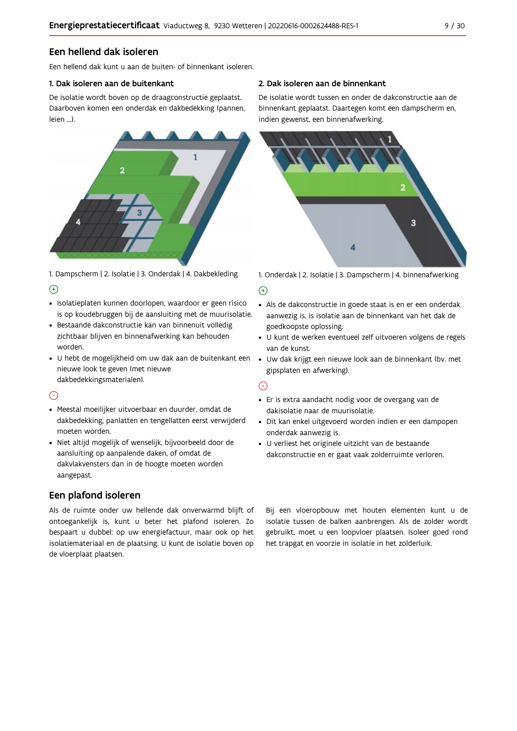## Een hellend dak isoleren

Een hellend dak kunt u aan de buiten- of binnenkant isoleren.

#### 1. Dak isoleren aan de buitenkant

De isolatie wordt boven op de draagconstructie geplaatst. Daarboven komen een onderdak en dakbedekking (pannen, leien ...).



1. Dampscherm | 2. Isolatie | 3. Onderdak | 4. Dakbekleding  $\Theta$ 

- · Isolatieplaten kunnen doorlopen, waardoor er geen risico is op koudebruggen bij de aansluiting met de muurisolatie.
- · Bestaande dakconstructie kan van binnenuit volledig zichtbaar blijven en binnenafwerking kan behouden worden.
- · U hebt de mogelijkheid om uw dak aan de buitenkant een nieuwe look te geven (met nieuwe dakbedekkingsmaterialen).

### $\odot$

- · Meestal moeilijker uitvoerbaar en duurder, omdat de dakbedekking, panlatten en tengellatten eerst verwijderd moeten worden.
- · Niet altijd mogelijk of wenselijk, bijvoorbeeld door de aansluiting op aanpalende daken, of omdat de dakvlakvensters dan in de hoogte moeten worden aangepast.

## Een plafond isoleren

Als de ruimte onder uw hellende dak onverwarmd blijft of ontoegankelijk is, kunt u beter het plafond isoleren. Zo bespaart u dubbel: op uw energiefactuur, maar ook op het isolatiemateriaal en de plaatsing. U kunt de isolatie boven op de vloerplaat plaatsen.

#### 2. Dak isoleren aan de binnenkant

De isolatie wordt tussen en onder de dakconstructie aan de binnenkant geplaatst. Daartegen komt een dampscherm en, indien gewenst, een binnenafwerking.



1. Onderdak | 2. Isolatie | 3. Dampscherm | 4. binnenafwerking

#### $\bigoplus$

- Als de dakconstructie in goede staat is en er een onderdak aanwezig is, is isolatie aan de binnenkant van het dak de goedkoopste oplossing.
- · U kunt de werken eventueel zelf uitvoeren volgens de regels van de kunst.
- · Uw dak krijgt een nieuwe look aan de binnenkant (bv. met gipsplaten en afwerking).

#### $\odot$

- · Er is extra aandacht nodig voor de overgang van de dakisolatie naar de muurisolatie.
- · Dit kan enkel uitgevoerd worden indien er een dampopen onderdak aanwezig is.
- · U verliest het originele uitzicht van de bestaande dakconstructie en er gaat vaak zolderruimte verloren.

Bij een vloeropbouw met houten elementen kunt u de isolatie tussen de balken aanbrengen. Als de zolder wordt gebruikt, moet u een loopvloer plaatsen. Isoleer goed rond het trapgat en voorzie in isolatie in het zolderluik.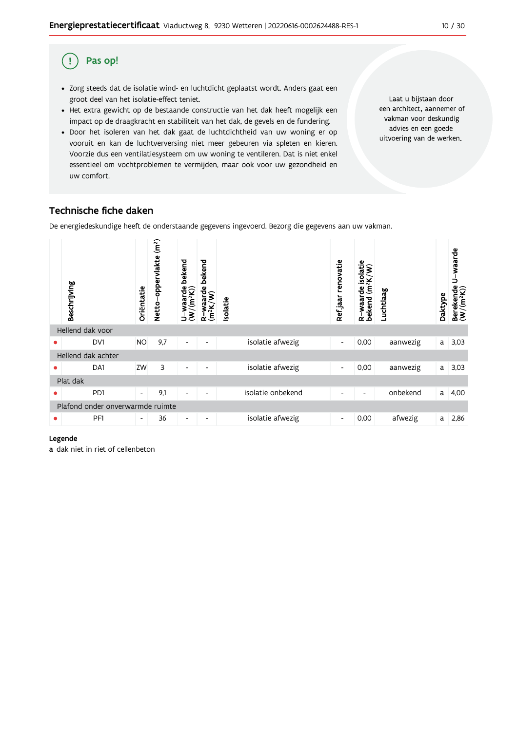#### Pas op! (!

- · Zorg steeds dat de isolatie wind- en luchtdicht geplaatst wordt. Anders gaat een groot deel van het isolatie-effect teniet.
- · Het extra gewicht op de bestaande constructie van het dak heeft mogelijk een impact op de draagkracht en stabiliteit van het dak, de gevels en de fundering.
- · Door het isoleren van het dak gaat de luchtdichtheid van uw woning er op vooruit en kan de luchtverversing niet meer gebeuren via spleten en kieren. Voorzie dus een ventilatiesysteem om uw woning te ventileren. Dat is niet enkel essentieel om vochtproblemen te vermijden, maar ook voor uw gezondheid en uw comfort.

Laat u bijstaan door een architect, aannemer of vakman voor deskundig advies en een goede uitvoering van de werken.

## Technische fiche daken

De energiedeskundige heeft de onderstaande gegevens ingevoerd. Bezorg die gegevens aan uw vakman.

|   | Beschrijving                     | Oriëntatie               | (m <sup>2</sup> )<br>Netto-oppervlakte | bekend<br>U-waarde<br>(W/(m <sup>2</sup> K)) | bekend<br>$\frac{w}{2}$ waarde<br>(m <sup>2</sup> K)<br>α | <b>Isolatie</b>   | renovatie<br>Ref jaar    | rde isolatie<br>$(m^2K/W)$<br>waarde<br>bekend<br>ά | Luchtlaag | Daktype | U waarde<br>$\begin{array}{ll} \text{Berekende} \\ (\textbf{W}/(\textbf{m}^2\textbf{K})) \end{array}$ |
|---|----------------------------------|--------------------------|----------------------------------------|----------------------------------------------|-----------------------------------------------------------|-------------------|--------------------------|-----------------------------------------------------|-----------|---------|-------------------------------------------------------------------------------------------------------|
|   | Hellend dak voor                 |                          |                                        |                                              |                                                           |                   |                          |                                                     |           |         |                                                                                                       |
|   | DV1                              | <b>NO</b>                | 9,7                                    | $\overline{\phantom{a}}$                     | ٠                                                         | isolatie afwezig  | $\overline{\phantom{a}}$ | 0,00                                                | aanwezig  | a       | 3,03                                                                                                  |
|   | Hellend dak achter               |                          |                                        |                                              |                                                           |                   |                          |                                                     |           |         |                                                                                                       |
| ٠ | DA1                              | ZW                       | 3                                      | -                                            |                                                           | isolatie afwezig  | $\overline{\phantom{a}}$ | 0,00                                                | aanwezig  | a       | 3,03                                                                                                  |
|   | Plat dak                         |                          |                                        |                                              |                                                           |                   |                          |                                                     |           |         |                                                                                                       |
| ● | PD1                              | $\overline{\phantom{a}}$ | 9,1                                    | $\overline{\phantom{a}}$                     | $\overline{\phantom{a}}$                                  | isolatie onbekend | ٠                        | $\overline{\phantom{0}}$                            | onbekend  | a       | 4,00                                                                                                  |
|   | Plafond onder onverwarmde ruimte |                          |                                        |                                              |                                                           |                   |                          |                                                     |           |         |                                                                                                       |
| ● | PF1                              | $\overline{\phantom{a}}$ | 36                                     | $\overline{\phantom{a}}$                     | $\overline{\phantom{a}}$                                  | isolatie afwezig  | $\overline{\phantom{a}}$ | 0,00                                                | afwezig   | a       | 2,86                                                                                                  |

#### Legende

a dak niet in riet of cellenbeton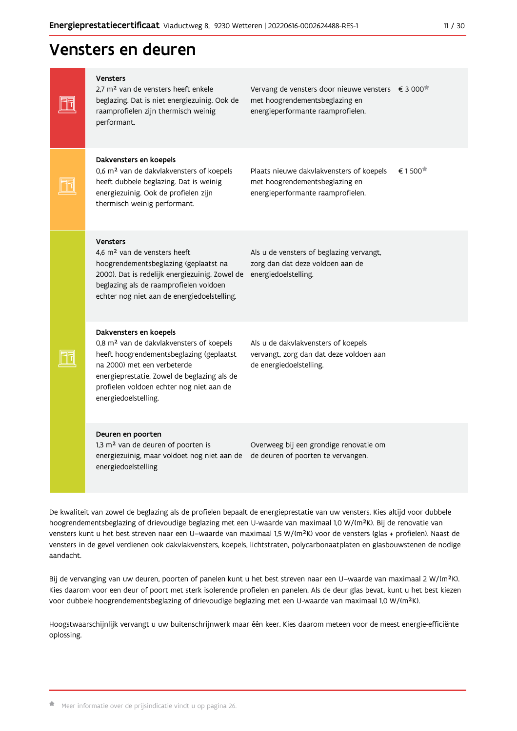## Vensters en deuren

|  | <b>Vensters</b><br>2.7 m <sup>2</sup> van de vensters heeft enkele<br>beglazing. Dat is niet energiezuinig. Ook de<br>raamprofielen zijn thermisch weinig<br>performant.                                                                                                     | Vervang de vensters door nieuwe vensters<br>met hoogrendementsbeglazing en<br>energieperformante raamprofielen. | € 3 000             |
|--|------------------------------------------------------------------------------------------------------------------------------------------------------------------------------------------------------------------------------------------------------------------------------|-----------------------------------------------------------------------------------------------------------------|---------------------|
|  | Dakvensters en koepels<br>0,6 m <sup>2</sup> van de dakvlakvensters of koepels<br>heeft dubbele beglazing. Dat is weinig<br>energiezuinig. Ook de profielen zijn<br>thermisch weinig performant.                                                                             | Plaats nieuwe dakvlakvensters of koepels<br>met hoogrendementsbeglazing en<br>energieperformante raamprofielen. | € 1500 <sup>★</sup> |
|  | <b>Vensters</b><br>4,6 m <sup>2</sup> van de vensters heeft<br>hoogrendementsbeglazing (geplaatst na<br>2000). Dat is redelijk energiezuinig. Zowel de<br>beglazing als de raamprofielen voldoen<br>echter nog niet aan de energiedoelstelling.                              | Als u de vensters of beglazing vervangt,<br>zorg dan dat deze voldoen aan de<br>energiedoelstelling.            |                     |
|  | Dakvensters en koepels<br>0,8 m <sup>2</sup> van de dakvlakvensters of koepels<br>heeft hoogrendementsbeglazing (geplaatst<br>na 2000) met een verbeterde<br>energieprestatie. Zowel de beglazing als de<br>profielen voldoen echter nog niet aan de<br>energiedoelstelling. | Als u de dakvlakvensters of koepels<br>vervangt, zorg dan dat deze voldoen aan<br>de energiedoelstelling.       |                     |
|  | Deuren en poorten<br>1,3 m <sup>2</sup> van de deuren of poorten is<br>energiezuinig, maar voldoet nog niet aan de<br>energiedoelstelling                                                                                                                                    | Overweeg bij een grondige renovatie om<br>de deuren of poorten te vervangen.                                    |                     |

De kwaliteit van zowel de beglazing als de profielen bepaalt de energieprestatie van uw vensters. Kies altijd voor dubbele hoogrendementsbeglazing of drievoudige beglazing met een U-waarde van maximaal 1,0 W/(m<sup>2</sup>K). Bij de renovatie van vensters kunt u het best streven naar een U-waarde van maximaal 1,5 W/(m<sup>2</sup>K) voor de vensters (glas + profielen). Naast de vensters in de gevel verdienen ook dakvlakvensters, koepels, lichtstraten, polycarbonaatplaten en glasbouwstenen de nodige aandacht.

Bij de vervanging van uw deuren, poorten of panelen kunt u het best streven naar een U-waarde van maximaal 2 W/(m<sup>2</sup>K). Kies daarom voor een deur of poort met sterk isolerende profielen en panelen. Als de deur glas bevat, kunt u het best kiezen voor dubbele hoogrendementsbeglazing of drievoudige beglazing met een U-waarde van maximaal 1,0 W/(m<sup>2</sup>K).

Hoogstwaarschijnlijk vervangt u uw buitenschrijnwerk maar één keer. Kies daarom meteen voor de meest energie-efficiënte oplossing.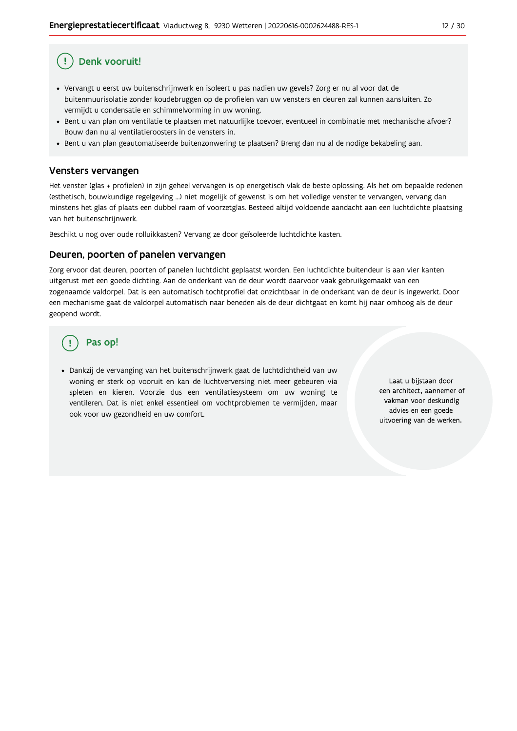## Denk vooruit!

- · Vervangt u eerst uw buitenschrijnwerk en isoleert u pas nadien uw gevels? Zorg er nu al voor dat de buitenmuurisolatie zonder koudebruggen op de profielen van uw vensters en deuren zal kunnen aansluiten. Zo vermijdt u condensatie en schimmelvorming in uw woning.
- Bent u van plan om ventilatie te plaatsen met natuurlijke toevoer, eventueel in combinatie met mechanische afvoer? Bouw dan nu al ventilatieroosters in de vensters in.
- · Bent u van plan geautomatiseerde buitenzonwering te plaatsen? Breng dan nu al de nodige bekabeling aan.

### Vensters vervangen

Het venster (glas + profielen) in zijn geheel vervangen is op energetisch vlak de beste oplossing. Als het om bepaalde redenen (esthetisch, bouwkundige regelgeving ...) niet mogelijk of gewenst is om het volledige venster te vervangen, vervang dan minstens het glas of plaats een dubbel raam of voorzetglas. Besteed altijd voldoende aandacht aan een luchtdichte plaatsing van het buitenschrijnwerk.

Beschikt u nog over oude rolluikkasten? Vervang ze door geïsoleerde luchtdichte kasten.

#### Deuren, poorten of panelen vervangen

Zorg ervoor dat deuren, poorten of panelen luchtdicht geplaatst worden. Een luchtdichte buitendeur is aan vier kanten uitgerust met een goede dichting. Aan de onderkant van de deur wordt daarvoor vaak gebruikgemaakt van een zogenaamde valdorpel. Dat is een automatisch tochtprofiel dat onzichtbaar in de onderkant van de deur is ingewerkt. Door een mechanisme gaat de valdorpel automatisch naar beneden als de deur dichtgaat en komt hij naar omhoog als de deur geopend wordt.

## Pas op!

· Dankzij de vervanging van het buitenschrijnwerk gaat de luchtdichtheid van uw woning er sterk op vooruit en kan de luchtverversing niet meer gebeuren via spleten en kieren. Voorzie dus een ventilatiesysteem om uw woning te ventileren. Dat is niet enkel essentieel om vochtproblemen te vermijden, maar ook voor uw gezondheid en uw comfort.

Laat u bijstaan door een architect, aannemer of vakman voor deskundig advies en een goede uitvoering van de werken.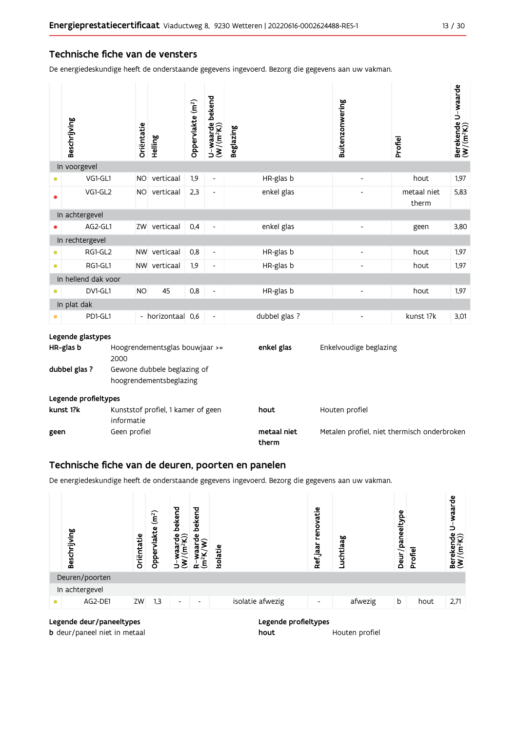### Technische fiche van de vensters

De energiedeskundige heeft de onderstaande gegevens ingevoerd. Bezorg die gegevens aan uw vakman.

|                                                                         | Beschrijving                   |              | Oriëntatie | Helling                        | Oppervlakte (m <sup>2</sup> ) | U-waarde bekend<br>(W/(m <sup>2</sup> K)) | <b>Beglazing</b>     | Buitenzonwering                             | Profiel              | Berekende U-waarde<br>(W/(m <sup>2</sup> K)) |
|-------------------------------------------------------------------------|--------------------------------|--------------|------------|--------------------------------|-------------------------------|-------------------------------------------|----------------------|---------------------------------------------|----------------------|----------------------------------------------|
|                                                                         | In voorgevel                   |              |            |                                |                               |                                           |                      |                                             |                      |                                              |
|                                                                         | VG1-GL1                        |              | NO.        | verticaal                      | 1,9                           | $\blacksquare$                            | HR-glas b            | $\frac{1}{2}$                               | hout                 | 1,97                                         |
|                                                                         | VG1-GL2                        |              |            | NO verticaal                   | 2,3                           | $\overline{a}$                            | enkel glas           |                                             | metaal niet<br>therm | 5,83                                         |
|                                                                         | In achtergevel                 |              |            |                                |                               |                                           |                      |                                             |                      |                                              |
|                                                                         | AG2-GL1                        |              |            | ZW verticaal                   | 0,4                           | $\qquad \qquad \blacksquare$              | enkel glas           | $\overline{\phantom{0}}$                    | geen                 | 3,80                                         |
|                                                                         | In rechtergevel                |              |            |                                |                               |                                           |                      |                                             |                      |                                              |
|                                                                         | RG1-GL2                        |              |            | NW verticaal                   | 0,8                           | $\overline{\phantom{a}}$                  | HR-glas b            | Ĭ.                                          | hout                 | 1,97                                         |
|                                                                         | RG1-GL1                        |              |            | NW verticaal                   | 1,9                           | $\frac{1}{2}$                             | HR-glas b            |                                             | hout                 | 1,97                                         |
|                                                                         | In hellend dak voor            |              |            |                                |                               |                                           |                      |                                             |                      |                                              |
|                                                                         | DV1-GL1                        |              | <b>NO</b>  | 45                             | 0,8                           | $\overline{a}$                            | HR-glas b            | $\overline{\phantom{0}}$                    | hout                 | 1,97                                         |
|                                                                         | In plat dak                    |              |            |                                |                               |                                           |                      |                                             |                      |                                              |
|                                                                         | PD1-GL1                        |              |            | - horizontaal 0,6              |                               | $\overline{a}$                            | dubbel glas ?        | $\overline{a}$                              | kunst 1?k            | 3,01                                         |
|                                                                         | Legende glastypes<br>HR-glas b |              |            | Hoogrendementsglas bouwjaar >= |                               |                                           | enkel glas           | Enkelvoudige beglazing                      |                      |                                              |
|                                                                         |                                | 2000         |            |                                |                               |                                           |                      |                                             |                      |                                              |
| dubbel glas ?<br>Gewone dubbele beglazing of<br>hoogrendementsbeglazing |                                |              |            |                                |                               |                                           |                      |                                             |                      |                                              |
|                                                                         | Legende profieltypes           |              |            |                                |                               |                                           |                      |                                             |                      |                                              |
| kunst 1?k<br>Kunststof profiel, 1 kamer of geen<br>informatie           |                                |              |            |                                | hout                          | Houten profiel                            |                      |                                             |                      |                                              |
| geen                                                                    |                                | Geen profiel |            |                                |                               |                                           | metaal niet<br>therm | Metalen profiel, niet thermisch onderbroken |                      |                                              |

### Technische fiche van de deuren, poorten en panelen

De energiedeskundige heeft de onderstaande gegevens ingevoerd. Bezorg die gegevens aan uw vakman.



**b** deur/paneel niet in metaal

Legende profieltypes

Houten profiel hout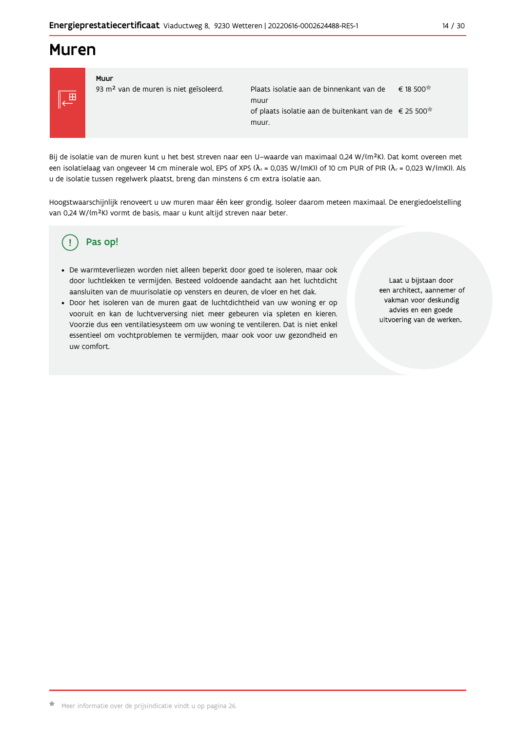## **Muren**



Muur 93 m<sup>2</sup> van de muren is niet geïsoleerd.

€ 18 500<sup>★</sup> Plaats isolatie aan de binnenkant van de muur of plaats isolatie aan de buitenkant van de € 25 500<sup>★</sup> muur.

Bij de isolatie van de muren kunt u het best streven naar een U-waarde van maximaal 0,24 W/(m<sup>2</sup>K). Dat komt overeen met een isolatielaag van ongeveer 14 cm minerale wol, EPS of XPS ( $\lambda_a$  = 0,035 W/(mK)) of 10 cm PUR of PIR ( $\lambda_a$  = 0,023 W/(mK)). Als u de isolatie tussen regelwerk plaatst, breng dan minstens 6 cm extra isolatie aan.

Hoogstwaarschijnlijk renoveert u uw muren maar één keer grondig. Isoleer daarom meteen maximaal. De energiedoelstelling van 0,24 W/(m<sup>2</sup>K) vormt de basis, maar u kunt altijd streven naar beter.

#### Pas op! Ţ

- · De warmteverliezen worden niet alleen beperkt door goed te isoleren, maar ook door luchtlekken te vermijden. Besteed voldoende aandacht aan het luchtdicht aansluiten van de muurisolatie op vensters en deuren, de vloer en het dak.
- · Door het isoleren van de muren gaat de luchtdichtheid van uw woning er op vooruit en kan de luchtverversing niet meer gebeuren via spleten en kieren. Voorzie dus een ventilatiesysteem om uw woning te ventileren. Dat is niet enkel essentieel om vochtproblemen te vermijden, maar ook voor uw gezondheid en uw comfort.

Laat u bijstaan door een architect, aannemer of vakman voor deskundig advies en een goede uitvoering van de werken.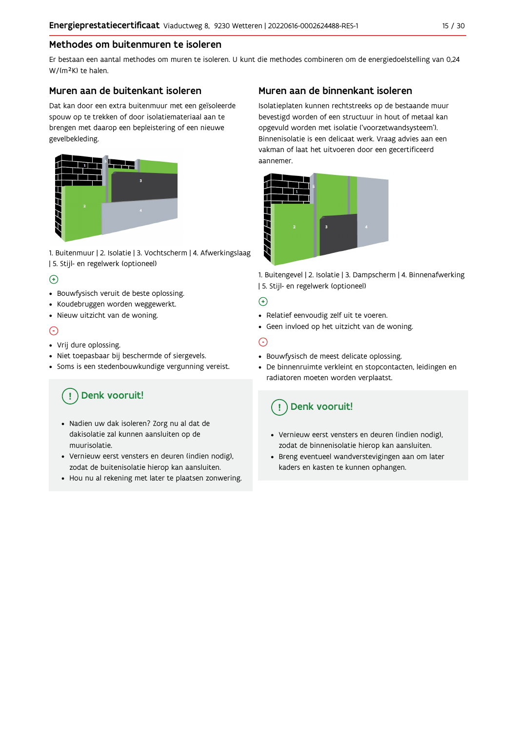## Methodes om buitenmuren te isoleren

Er bestaan een aantal methodes om muren te isoleren. U kunt die methodes combineren om de energiedoelstelling van 0,24 W/(m<sup>2</sup>K) te halen.

### Muren aan de buitenkant isoleren

Dat kan door een extra buitenmuur met een geïsoleerde spouw op te trekken of door isolatiemateriaal aan te brengen met daarop een bepleistering of een nieuwe gevelbekleding.



1. Buitenmuur | 2. Isolatie | 3. Vochtscherm | 4. Afwerkingslaag | 5. Stijl- en regelwerk (optioneel)

## $\bigoplus$

- Bouwfysisch veruit de beste oplossing.
- Koudebruggen worden weggewerkt.
- · Nieuw uitzicht van de woning.

## $\odot$

### • Vrij dure oplossing.

- · Niet toepasbaar bij beschermde of siergevels.
- Soms is een stedenbouwkundige vergunning vereist.

# Denk vooruit!

- · Nadien uw dak isoleren? Zorg nu al dat de dakisolatie zal kunnen aansluiten op de muurisolatie.
- · Vernieuw eerst vensters en deuren (indien nodig), zodat de buitenisolatie hierop kan aansluiten.
- Hou nu al rekening met later te plaatsen zonwering.

## Muren aan de binnenkant isoleren

Isolatieplaten kunnen rechtstreeks op de bestaande muur bevestigd worden of een structuur in hout of metaal kan opgevuld worden met isolatie ('voorzetwandsysteem'). Binnenisolatie is een delicaat werk. Vraag advies aan een vakman of laat het uitvoeren door een gecertificeerd aannemer



1. Buitengevel | 2. Isolatie | 3. Dampscherm | 4. Binnenafwerking | 5. Stijl- en regelwerk (optioneel)

### $\bigoplus$

- Relatief eenvoudig zelf uit te voeren.
- Geen invloed op het uitzicht van de woning.

## ⊝

- Bouwfysisch de meest delicate oplossing.
- · De binnenruimte verkleint en stopcontacten, leidingen en radiatoren moeten worden verplaatst.

## Denk vooruit!

- Vernieuw eerst vensters en deuren (indien nodig), zodat de binnenisolatie hierop kan aansluiten.
- · Breng eventueel wandverstevigingen aan om later kaders en kasten te kunnen ophangen.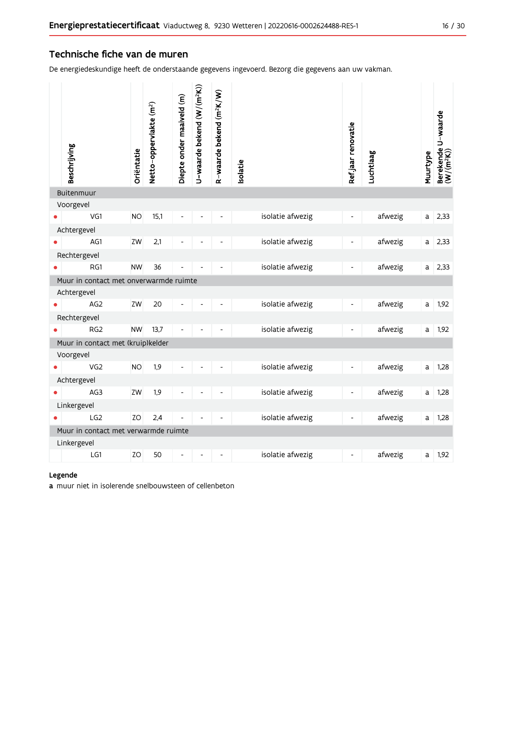### Technische fiche van de muren

De energiedeskundige heeft de onderstaande gegevens ingevoerd. Bezorg die gegevens aan uw vakman.

| Beschrijving                           | Oriëntatie | Netto-oppervlakte (m <sup>2</sup> ) | Diepte onder maaiveld (m) | U-waarde bekend (W/(m <sup>2</sup> K)) | R-waarde bekend (m <sup>2</sup> K/W) | solatie          | Ref.jaar renovatie       | Luchtlaag | Muurtype | Berekende U-waarde<br>(W/(m <sup>2</sup> K)) |
|----------------------------------------|------------|-------------------------------------|---------------------------|----------------------------------------|--------------------------------------|------------------|--------------------------|-----------|----------|----------------------------------------------|
| Buitenmuur                             |            |                                     |                           |                                        |                                      |                  |                          |           |          |                                              |
| Voorgevel<br>VG1                       | <b>NO</b>  | 15,1                                |                           |                                        |                                      | isolatie afwezig |                          | afwezig   | a        | 2,33                                         |
| Achtergevel                            |            |                                     |                           |                                        |                                      |                  |                          |           |          |                                              |
| AG1                                    | ZW         | 2,1                                 |                           |                                        |                                      | isolatie afwezig | $\overline{\phantom{0}}$ | afwezig   | a        | 2,33                                         |
| Rechtergevel                           |            |                                     |                           |                                        |                                      |                  |                          |           |          |                                              |
| RG1                                    | <b>NW</b>  | 36                                  |                           |                                        |                                      | isolatie afwezig | $\overline{\phantom{0}}$ | afwezig   | a        | 2,33                                         |
| Muur in contact met onverwarmde ruimte |            |                                     |                           |                                        |                                      |                  |                          |           |          |                                              |
| Achtergevel                            |            |                                     |                           |                                        |                                      |                  |                          |           |          |                                              |
| AG <sub>2</sub>                        | ZW         | 20                                  |                           |                                        |                                      | isolatie afwezig |                          | afwezig   | a        | 1,92                                         |
| Rechtergevel                           |            |                                     |                           |                                        |                                      |                  |                          |           |          |                                              |
| RG <sub>2</sub>                        | <b>NW</b>  | 13,7                                |                           |                                        |                                      | isolatie afwezig |                          | afwezig   | a        | 1,92                                         |
| Muur in contact met (kruip)kelder      |            |                                     |                           |                                        |                                      |                  |                          |           |          |                                              |
| Voorgevel                              |            |                                     |                           |                                        |                                      |                  |                          |           |          |                                              |
| VG <sub>2</sub>                        | <b>NO</b>  | 1,9                                 |                           |                                        |                                      | isolatie afwezig |                          | afwezig   | a        | 1,28                                         |
| Achtergevel                            |            |                                     |                           |                                        |                                      |                  |                          |           |          |                                              |
| AG3                                    | ZW         | 1,9                                 |                           |                                        |                                      | isolatie afwezig |                          | afwezig   | a        | 1,28                                         |
| Linkergevel                            |            |                                     |                           |                                        |                                      |                  |                          |           |          |                                              |
| LG2                                    | ZO         | 2,4                                 |                           |                                        |                                      | isolatie afwezig |                          | afwezig   | a        | 1,28                                         |
| Muur in contact met verwarmde ruimte   |            |                                     |                           |                                        |                                      |                  |                          |           |          |                                              |
| Linkergevel                            |            |                                     |                           |                                        |                                      |                  |                          |           |          |                                              |
| LG1                                    | ZO         | 50                                  |                           |                                        |                                      | isolatie afwezig | $\overline{\phantom{0}}$ | afwezig   | a        | 1,92                                         |

#### Legende

a muur niet in isolerende snelbouwsteen of cellenbeton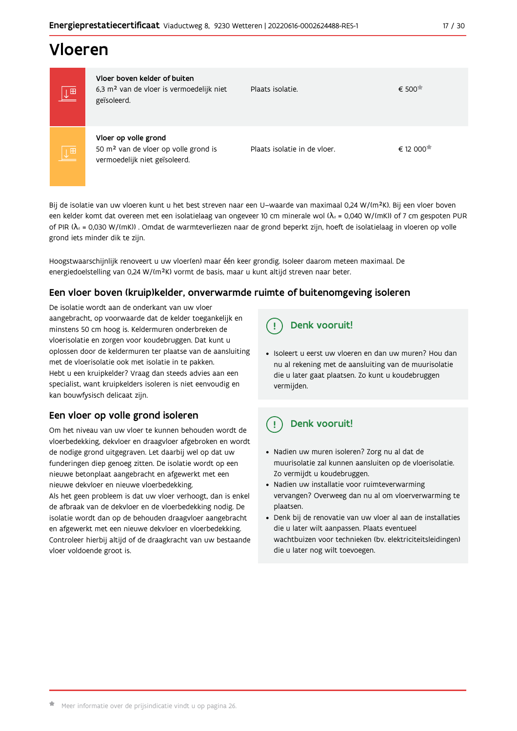## Vloeren

| $\underline{\downarrow}$ $\overline{\mathbb{H}}$ | Vloer boven kelder of buiten<br>6,3 m <sup>2</sup> van de vloer is vermoedelijk niet<br>geïsoleerd.       | Plaats isolatie.             | € 500    |
|--------------------------------------------------|-----------------------------------------------------------------------------------------------------------|------------------------------|----------|
| $\underline{\overline{\mathbb{L}}^{\boxplus}}$   | Vloer op volle grond<br>50 m <sup>2</sup> van de vloer op volle grond is<br>vermoedelijk niet geïsoleerd. | Plaats isolatie in de vloer. | € 12 000 |

Bij de isolatie van uw vloeren kunt u het best streven naar een U-waarde van maximaal 0,24 W/(m<sup>2</sup>K). Bij een vloer boven een kelder komt dat overeen met een isolatielaag van ongeveer 10 cm minerale wol ( $\lambda_d$  = 0,040 W/(mK)) of 7 cm gespoten PUR of PIR ( $\lambda_4$  = 0,030 W/(mK)). Omdat de warmteverliezen naar de grond beperkt zijn, hoeft de isolatielaag in vloeren op volle grond iets minder dik te zijn.

Hoogstwaarschijnlijk renoveert u uw vloer(en) maar één keer grondig. Isoleer daarom meteen maximaal. De energiedoelstelling van 0,24 W/(m<sup>2</sup>K) vormt de basis, maar u kunt altijd streven naar beter.

## Een vloer boven (kruip) kelder, onverwarmde ruimte of buitenomgeving isoleren

De isolatie wordt aan de onderkant van uw vloer aangebracht, op voorwaarde dat de kelder toegankelijk en minstens 50 cm hoog is. Keldermuren onderbreken de vloerisolatie en zorgen voor koudebruggen. Dat kunt u oplossen door de keldermuren ter plaatse van de aansluiting met de vloerisolatie ook met isolatie in te pakken. Hebt u een kruipkelder? Vraag dan steeds advies aan een specialist, want kruipkelders isoleren is niet eenvoudig en kan bouwfysisch delicaat zijn.

## Een vloer op volle grond isoleren

Om het niveau van uw vloer te kunnen behouden wordt de vloerbedekking, dekvloer en draagvloer afgebroken en wordt de nodige grond uitgegraven. Let daarbij wel op dat uw funderingen diep genoeg zitten. De isolatie wordt op een nieuwe betonplaat aangebracht en afgewerkt met een nieuwe dekvloer en nieuwe vloerbedekking.

Als het geen probleem is dat uw vloer verhoogt, dan is enkel de afbraak van de dekvloer en de vloerbedekking nodig. De isolatie wordt dan op de behouden draagvloer aangebracht en afgewerkt met een nieuwe dekvloer en vloerbedekking. Controleer hierbij altijd of de draagkracht van uw bestaande vloer voldoende groot is.

#### Denk vooruit! Ţ

· Isoleert u eerst uw vloeren en dan uw muren? Hou dan nu al rekening met de aansluiting van de muurisolatie die u later gaat plaatsen. Zo kunt u koudebruggen vermijden.

#### Ţ Denk vooruit!

- · Nadien uw muren isoleren? Zorg nu al dat de muurisolatie zal kunnen aansluiten op de vloerisolatie. Zo vermijdt u koudebruggen.
- Nadien uw installatie voor ruimteverwarming vervangen? Overweeg dan nu al om vloerverwarming te plaatsen.
- · Denk bij de renovatie van uw vloer al aan de installaties die u later wilt aanpassen. Plaats eventueel wachtbuizen voor technieken (bv. elektriciteitsleidingen) die u later nog wilt toevoegen.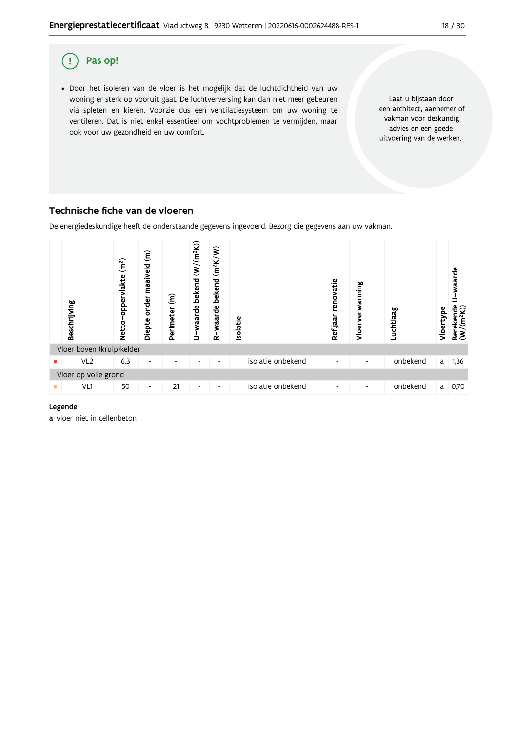

## Technische fiche van de vloeren

De energiedeskundige heeft de onderstaande gegevens ingevoerd. Bezorg die gegevens aan uw vakman.



#### Legende

a vloer niet in cellenbeton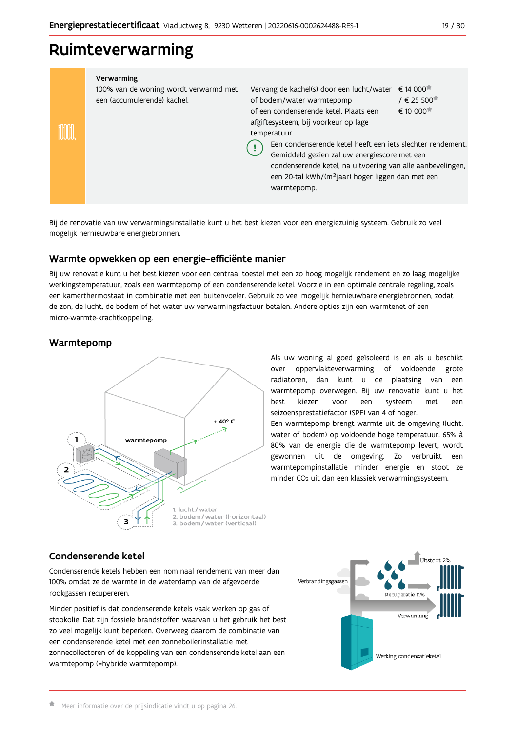## Ruimteverwarming

| Verwarming<br>100% van de woning wordt verwarmd met<br>een (accumulerende) kachel. | Vervang de kachel(s) door een lucht/water<br>of bodem/water warmtepomp<br>of een condenserende ketel. Plaats een<br>afgiftesysteem, bij voorkeur op lage<br>temperatuur.<br>Een condenserende ketel heeft een iets slechter rendement.<br>Gemiddeld gezien zal uw energiescore met een<br>condenserende ketel, na uitvoering van alle aanbevelingen,<br>een 20-tal kWh/(m <sup>2</sup> jaar) hoger liggen dan met een<br>warmtepomp. | $\epsilon$ 14 000<br>$/$ € 25 500 $^{\circ}$<br>$\epsilon$ 10 000 <sup><math>\pi</math></sup> |
|------------------------------------------------------------------------------------|--------------------------------------------------------------------------------------------------------------------------------------------------------------------------------------------------------------------------------------------------------------------------------------------------------------------------------------------------------------------------------------------------------------------------------------|-----------------------------------------------------------------------------------------------|

Bij de renovatie van uw verwarmingsinstallatie kunt u het best kiezen voor een energiezuinig systeem. Gebruik zo veel mogelijk hernieuwbare energiebronnen.

## Warmte opwekken op een energie-efficiënte manier

Bij uw renovatie kunt u het best kiezen voor een centraal toestel met een zo hoog mogelijk rendement en zo laag mogelijke werkingstemperatuur, zoals een warmtepomp of een condenserende ketel. Voorzie in een optimale centrale regeling, zoals een kamerthermostaat in combinatie met een buitenvoeler. Gebruik zo veel mogelijk hernieuwbare energiebronnen, zodat de zon, de lucht, de bodem of het water uw verwarmingsfactuur betalen. Andere opties zijn een warmtenet of een micro-warmte-krachtkoppeling.

## Warmtepomp



Als uw woning al goed geïsoleerd is en als u beschikt over oppervlakteverwarming of voldoende grote radiatoren, dan kunt u de plaatsing van een warmtepomp overwegen. Bij uw renovatie kunt u het best kiezen voor een systeem met een seizoensprestatiefactor (SPF) van 4 of hoger.

Een warmtepomp brengt warmte uit de omgeving (lucht, water of bodem) op voldoende hoge temperatuur. 65% à 80% van de energie die de warmtepomp levert, wordt gewonnen uit de omgeving. Zo verbruikt een warmtepompinstallatie minder energie en stoot ze minder CO<sub>2</sub> uit dan een klassiek verwarmingssysteem.

## Condenserende ketel

Condenserende ketels hebben een nominaal rendement van meer dan 100% omdat ze de warmte in de waterdamp van de afgevoerde rookgassen recupereren.

Minder positief is dat condenserende ketels vaak werken op gas of stookolie. Dat zijn fossiele brandstoffen waarvan u het gebruik het best zo veel mogelijk kunt beperken. Overweeg daarom de combinatie van een condenserende ketel met een zonneboilerinstallatie met zonnecollectoren of de koppeling van een condenserende ketel aan een warmtepomp (=hybride warmtepomp).

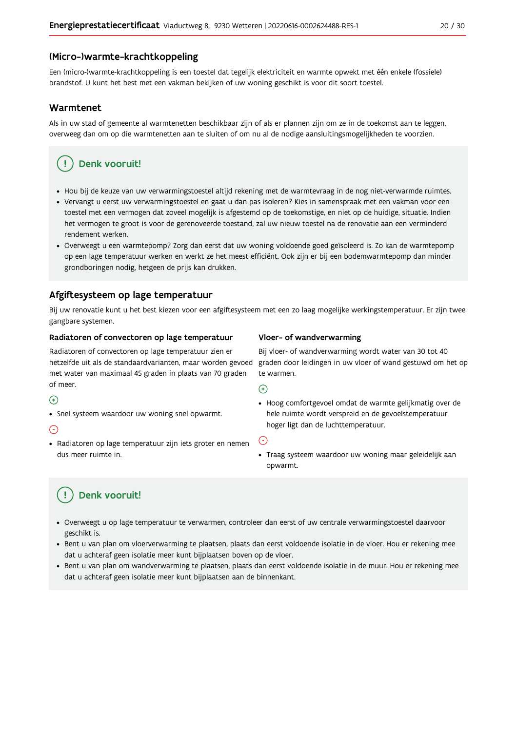### (Micro-)warmte-krachtkoppeling

Een (micro-)warmte-krachtkoppeling is een toestel dat tegelijk elektriciteit en warmte opwekt met één enkele (fossiele) brandstof. U kunt het best met een vakman bekijken of uw woning geschikt is voor dit soort toestel.

#### Warmtenet

Als in uw stad of gemeente al warmtenetten beschikbaar zijn of als er plannen zijn om ze in de toekomst aan te leggen, overweeg dan om op die warmtenetten aan te sluiten of om nu al de nodige aansluitingsmogelijkheden te voorzien.

## Denk vooruit!

- · Hou bij de keuze van uw verwarmingstoestel altijd rekening met de warmtevraag in de nog niet-verwarmde ruimtes.
- Vervangt u eerst uw verwarmingstoestel en gaat u dan pas isoleren? Kies in samenspraak met een vakman voor een toestel met een vermogen dat zoveel mogelijk is afgestemd op de toekomstige, en niet op de huidige, situatie. Indien het vermogen te groot is voor de gerenoveerde toestand, zal uw nieuw toestel na de renovatie aan een verminderd rendement werken.
- · Overweegt u een warmtepomp? Zorg dan eerst dat uw woning voldoende goed geïsoleerd is. Zo kan de warmtepomp op een lage temperatuur werken en werkt ze het meest efficiënt. Ook zijn er bij een bodemwarmtepomp dan minder grondboringen nodig, hetgeen de prijs kan drukken.

## Afgiftesysteem op lage temperatuur

Bij uw renovatie kunt u het best kiezen voor een afgiftesysteem met een zo laag mogelijke werkingstemperatuur. Er zijn twee gangbare systemen.

#### Radiatoren of convectoren op lage temperatuur

Radiatoren of convectoren op lage temperatuur zien er hetzelfde uit als de standaardvarianten, maar worden gevoed met water van maximaal 45 graden in plaats van 70 graden of meer.

#### $\bigoplus$

• Snel systeem waardoor uw woning snel opwarmt.

#### $\bigodot$

· Radiatoren op lage temperatuur zijn iets groter en nemen dus meer ruimte in.

#### Vloer- of wandverwarming

Bij vloer- of wandverwarming wordt water van 30 tot 40 graden door leidingen in uw vloer of wand gestuwd om het op te warmen.

#### $\bigoplus$

· Hoog comfortgevoel omdat de warmte gelijkmatig over de hele ruimte wordt verspreid en de gevoelstemperatuur hoger ligt dan de luchttemperatuur.

#### ∈

• Traag systeem waardoor uw woning maar geleidelijk aan opwarmt.

## Denk vooruit!

- · Overweegt u op lage temperatuur te verwarmen, controleer dan eerst of uw centrale verwarmingstoestel daarvoor geschikt is.
- · Bent u van plan om vloerverwarming te plaatsen, plaats dan eerst voldoende isolatie in de vloer. Hou er rekening mee dat u achteraf geen isolatie meer kunt bijplaatsen boven op de vloer.
- · Bent u van plan om wandverwarming te plaatsen, plaats dan eerst voldoende isolatie in de muur. Hou er rekening mee dat u achteraf geen isolatie meer kunt bijplaatsen aan de binnenkant.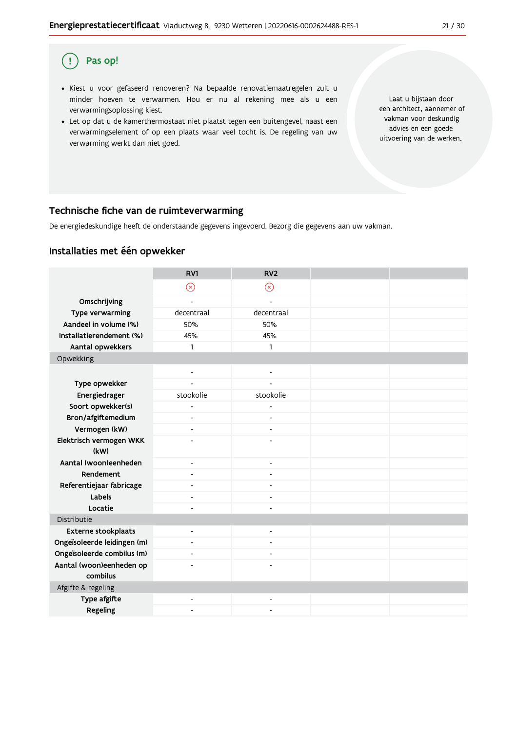#### Pas op!  $\left( \begin{array}{c} 1 \end{array} \right)$

- · Kiest u voor gefaseerd renoveren? Na bepaalde renovatiemaatregelen zult u minder hoeven te verwarmen. Hou er nu al rekening mee als u een verwarmingsoplossing kiest.
- . Let op dat u de kamerthermostaat niet plaatst tegen een buitengevel, naast een verwarmingselement of op een plaats waar veel tocht is. De regeling van uw verwarming werkt dan niet goed.

Laat u bijstaan door een architect, aannemer of vakman voor deskundig advies en een goede uitvoering van de werken.

## Technische fiche van de ruimteverwarming

De energiedeskundige heeft de onderstaande gegevens ingevoerd. Bezorg die gegevens aan uw vakman.

## Installaties met één opwekker

|                                      | RV1                      | RV <sub>2</sub>              |  |
|--------------------------------------|--------------------------|------------------------------|--|
|                                      | $\odot$                  | $\odot$                      |  |
| Omschrijving                         | $\overline{a}$           | $\overline{a}$               |  |
| Type verwarming                      | decentraal               | decentraal                   |  |
| Aandeel in volume (%)                | 50%                      | 50%                          |  |
| Installatierendement (%)             | 45%                      | 45%                          |  |
| Aantal opwekkers                     | $\mathbf{1}$             | 1                            |  |
| Opwekking                            |                          |                              |  |
|                                      | $\blacksquare$           | $\blacksquare$               |  |
| Type opwekker                        | $\overline{a}$           | $\overline{a}$               |  |
| Energiedrager                        | stookolie                | stookolie                    |  |
| Soort opwekker(s)                    | $\overline{a}$           | $\overline{a}$               |  |
| Bron/afgiftemedium                   | $\overline{\phantom{a}}$ | $\overline{\phantom{a}}$     |  |
| Vermogen (kW)                        | $\overline{\phantom{a}}$ | $\qquad \qquad \blacksquare$ |  |
| Elektrisch vermogen WKK              | ٠                        | $\overline{a}$               |  |
| (kW)                                 |                          |                              |  |
| Aantal (woon)eenheden                | $\overline{\phantom{a}}$ | $\overline{\phantom{a}}$     |  |
| Rendement                            | $\blacksquare$           | $\blacksquare$               |  |
| Referentiejaar fabricage             | $\overline{a}$           | $\overline{\phantom{a}}$     |  |
| Labels                               | $\overline{\phantom{0}}$ | ٠                            |  |
| Locatie                              | $\overline{a}$           | ÷,                           |  |
| Distributie                          |                          |                              |  |
| <b>Externe stookplaats</b>           | $\blacksquare$           | $\blacksquare$               |  |
| Ongeïsoleerde leidingen (m)          | $\overline{\phantom{a}}$ | ٠                            |  |
| Ongeïsoleerde combilus (m)           | ٠                        | ٠                            |  |
| Aantal (woon)eenheden op<br>combilus | ٠                        | L.                           |  |
| Afgifte & regeling                   |                          |                              |  |
| Type afgifte                         | ٠                        | ٠                            |  |
| Regeling                             | ٠                        |                              |  |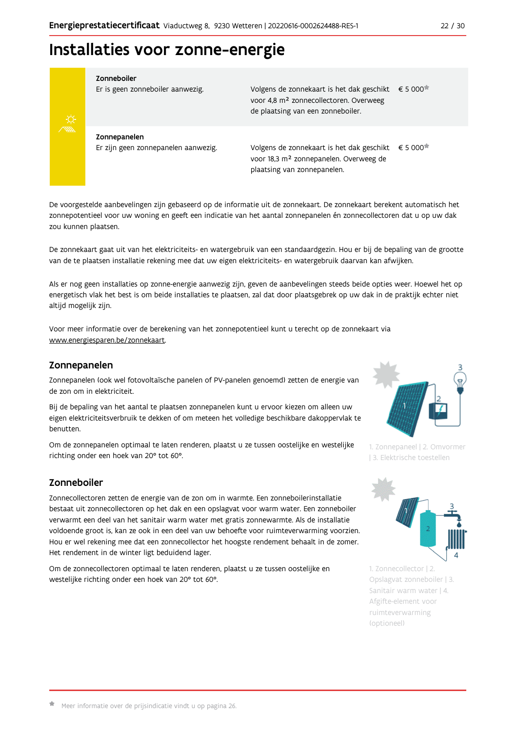## Installaties voor zonne-energie



#### Zonneboiler

Er is geen zonneboiler aanwezig.

Volgens de zonnekaart is het dak geschikt € 5 000 voor 4,8 m<sup>2</sup> zonnecollectoren. Overweeg de plaatsing van een zonneboiler.

Zonnepanelen Er zijn geen zonnepanelen aanwezig.

Volgens de zonnekaart is het dak geschikt  $\epsilon$  5 000<sup> $\star$ </sup> voor 18,3 m<sup>2</sup> zonnepanelen. Overweeg de plaatsing van zonnepanelen.

De voorgestelde aanbevelingen zijn gebaseerd op de informatie uit de zonnekaart. De zonnekaart berekent automatisch het zonnepotentieel voor uw woning en geeft een indicatie van het aantal zonnepanelen én zonnecollectoren dat u op uw dak zou kunnen plaatsen.

De zonnekaart gaat uit van het elektriciteits- en watergebruik van een standaardgezin. Hou er bij de bepaling van de grootte van de te plaatsen installatie rekening mee dat uw eigen elektriciteits- en watergebruik daarvan kan afwijken.

Als er nog geen installaties op zonne-energie aanwezig zijn, geven de aanbevelingen steeds beide opties weer. Hoewel het op energetisch vlak het best is om beide installaties te plaatsen, zal dat door plaatsgebrek op uw dak in de praktijk echter niet altijd mogelijk zijn.

Voor meer informatie over de berekening van het zonnepotentieel kunt u terecht op de zonnekaart via www.energiesparen.be/zonnekaart.

### Zonnepanelen

Zonnepanelen (ook wel fotovoltaïsche panelen of PV-panelen genoemd) zetten de energie van de zon om in elektriciteit.

Bij de bepaling van het aantal te plaatsen zonnepanelen kunt u ervoor kiezen om alleen uw eigen elektriciteitsverbruik te dekken of om meteen het volledige beschikbare dakoppervlak te benutten.

Om de zonnepanelen optimaal te laten renderen, plaatst u ze tussen oostelijke en westelijke richting onder een hoek van 20° tot 60°.

## Zonneboiler

Zonnecollectoren zetten de energie van de zon om in warmte. Een zonneboilerinstallatie bestaat uit zonnecollectoren op het dak en een opslagvat voor warm water. Een zonneboiler verwarmt een deel van het sanitair warm water met gratis zonnewarmte. Als de installatie voldoende groot is, kan ze ook in een deel van uw behoefte voor ruimteverwarming voorzien. Hou er wel rekening mee dat een zonnecollector het hoogste rendement behaalt in de zomer. Het rendement in de winter ligt beduidend lager.

Om de zonnecollectoren optimaal te laten renderen, plaatst u ze tussen oostelijke en westelijke richting onder een hoek van 20° tot 60°.



1. Zonnepaneel | 2. Omvormer | 3. Elektrische toestellen



1. Zonnecollector | 2. Opslagvat zonneboiler | 3. Sanitair warm water | 4. Afgifte-element voor ruimteverwarming (optioneel)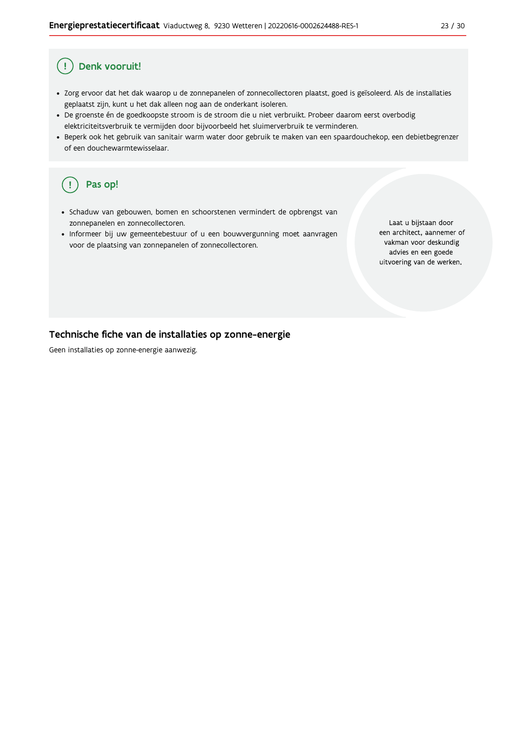#### Ţ Denk vooruit!

- · Zorg ervoor dat het dak waarop u de zonnepanelen of zonnecollectoren plaatst, goed is geïsoleerd. Als de installaties geplaatst zijn, kunt u het dak alleen nog aan de onderkant isoleren.
- · De groenste én de goedkoopste stroom is de stroom die u niet verbruikt. Probeer daarom eerst overbodig elektriciteitsverbruik te vermijden door bijvoorbeeld het sluimerverbruik te verminderen.
- · Beperk ook het gebruik van sanitair warm water door gebruik te maken van een spaardouchekop, een debietbegrenzer of een douchewarmtewisselaar.

#### Pas op! (၂

- · Schaduw van gebouwen, bomen en schoorstenen vermindert de opbrengst van zonnepanelen en zonnecollectoren.
- Informeer bij uw gemeentebestuur of u een bouwvergunning moet aanvragen voor de plaatsing van zonnepanelen of zonnecollectoren.

Laat u bijstaan door een architect, aannemer of vakman voor deskundig advies en een goede uitvoering van de werken.

### Technische fiche van de installaties op zonne-energie

Geen installaties op zonne-energie aanwezig.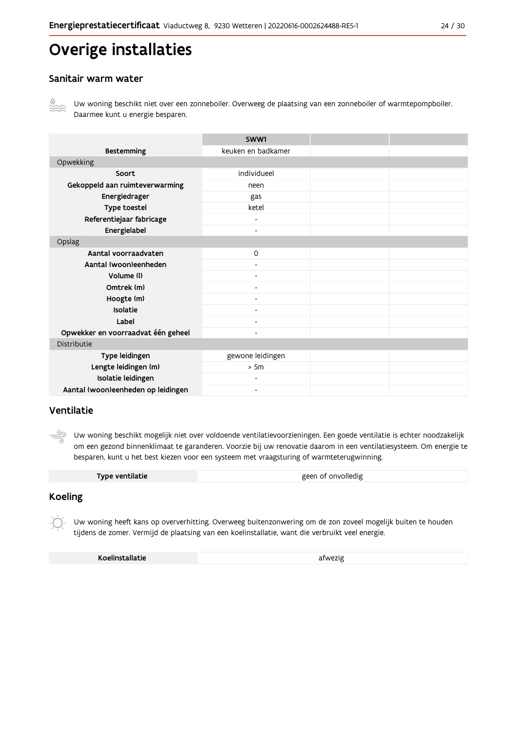# Overige installaties

### Sanitair warm water



Uw woning beschikt niet over een zonneboiler. Overweeg de plaatsing van een zonneboiler of warmtepompboiler. Daarmee kunt u energie besparen.

|                                    | SWW1                     |  |  |
|------------------------------------|--------------------------|--|--|
| <b>Bestemming</b>                  | keuken en badkamer       |  |  |
| Opwekking                          |                          |  |  |
| Soort                              | individueel              |  |  |
| Gekoppeld aan ruimteverwarming     | neen                     |  |  |
| Energiedrager                      | gas                      |  |  |
| Type toestel                       | ketel                    |  |  |
| Referentiejaar fabricage           | $\overline{\phantom{a}}$ |  |  |
| Energielabel                       | $\blacksquare$           |  |  |
| Opslag                             |                          |  |  |
| Aantal voorraadvaten               | $\mathsf{O}$             |  |  |
| Aantal (woon)eenheden              |                          |  |  |
| Volume (I)                         | $\blacksquare$           |  |  |
| Omtrek (m)                         | $\overline{\phantom{0}}$ |  |  |
| Hoogte (m)                         |                          |  |  |
| Isolatie                           | $\overline{\phantom{a}}$ |  |  |
| Label                              | $\overline{\phantom{a}}$ |  |  |
| Opwekker en voorraadvat één geheel | $\overline{\phantom{0}}$ |  |  |
| Distributie                        |                          |  |  |
| Type leidingen                     | gewone leidingen         |  |  |
| Lengte leidingen (m)               | > 5m                     |  |  |
| Isolatie leidingen                 | ۰                        |  |  |
| Aantal (woon)eenheden op leidingen | $\overline{\phantom{0}}$ |  |  |

## Ventilatie

<u>99</u> Uw woning beschikt mogelijk niet over voldoende ventilatievoorzieningen. Een goede ventilatie is echter noodzakelijk om een gezond binnenklimaat te garanderen. Voorzie bij uw renovatie daarom in een ventilatiesysteem. Om energie te besparen, kunt u het best kiezen voor een systeem met vraagsturing of warmteterugwinning.

| geen of onvolledig |
|--------------------|
|                    |

### **Koeling**

Uw woning heeft kans op oververhitting. Overweeg buitenzonwering om de zon zoveel mogelijk buiten te houden tijdens de zomer. Vermijd de plaatsing van een koelinstallatie, want die verbruikt veel energie.

Koelinstallatie

afwezig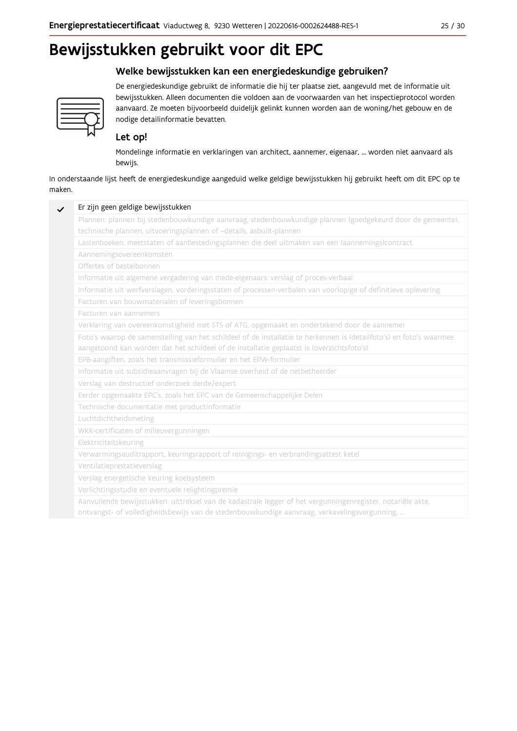# Bewijsstukken gebruikt voor dit EPC

## Welke bewijsstukken kan een energiedeskundige gebruiken?



De energiedeskundige gebruikt de informatie die hij ter plaatse ziet, aangevuld met de informatie uit bewijsstukken. Alleen documenten die voldoen aan de voorwaarden van het inspectieprotocol worden aanvaard. Ze moeten bijvoorbeeld duidelijk gelinkt kunnen worden aan de woning/het gebouw en de nodige detailinformatie bevatten.

## Let op!

Mondelinge informatie en verklaringen van architect, aannemer, eigenaar, ... worden niet aanvaard als bewijs.

In onderstaande lijst heeft de energiedeskundige aangeduid welke geldige bewijsstukken hij gebruikt heeft om dit EPC op te maken.

| Plannen: plannen bij stedenbouwkundige aanvraag, stedenbouwkundige plannen (goedgekeurd door de gemeente),          |
|---------------------------------------------------------------------------------------------------------------------|
| technische plannen, uitvoeringsplannen of -details, asbuilt-plannen                                                 |
| Lastenboeken, meetstaten of aanbestedingsplannen die deel uitmaken van een (aannemings)contract                     |
| Aannemingsovereenkomsten                                                                                            |
| Offertes of bestelbonnen                                                                                            |
| Informatie uit algemene vergadering van mede-eigenaars: verslag of proces-verbaal                                   |
| Informatie uit werfverslagen, vorderingsstaten of processen-verbalen van voorlopige of definitieve oplevering       |
| Facturen van bouwmaterialen of leveringsbonnen                                                                      |
| Facturen van aannemers                                                                                              |
| Verklaring van overeenkomstigheid met STS of ATG, opgemaakt en ondertekend door de aannemer                         |
| Foto's waarop de samenstelling van het schildeel of de installatie te herkennen is (detailfoto's) en foto's waarmee |
| aangetoond kan worden dat het schildeel of de installatie geplaatst is (overzichtsfoto's)                           |
| EPB-aangiften, zoals het transmissieformulier en het EPW-formulier                                                  |
| Informatie uit subsidieaanvragen bij de Vlaamse overheid of de netbetheerder                                        |
| Verslag van destructief onderzoek derde/expert                                                                      |
| Eerder opgemaakte EPC's, zoals het EPC van de Gemeenschappelijke Delen                                              |
| Technische documentatie met productinformatie                                                                       |
| Luchtdichtheidsmeting                                                                                               |
| WKK-certificaten of milieuvergunningen                                                                              |
| Elektriciteitskeuring                                                                                               |
| Verwarmingsauditrapport, keuringsrapport of reinigings- en verbrandingsattest ketel                                 |
| Ventilatieprestatieverslag                                                                                          |
| Verslag energetische keuring koelsysteem                                                                            |
| Verlichtingsstudie en eventuele relightingpremie                                                                    |
| Aanvullende bewijsstukken: uittreksel van de kadastrale legger of het vergunningenregister, notariële akte,         |
| ontvangst- of volledigheidsbewijs van de stedenbouwkundige aanvraag, verkavelingsvergunning,                        |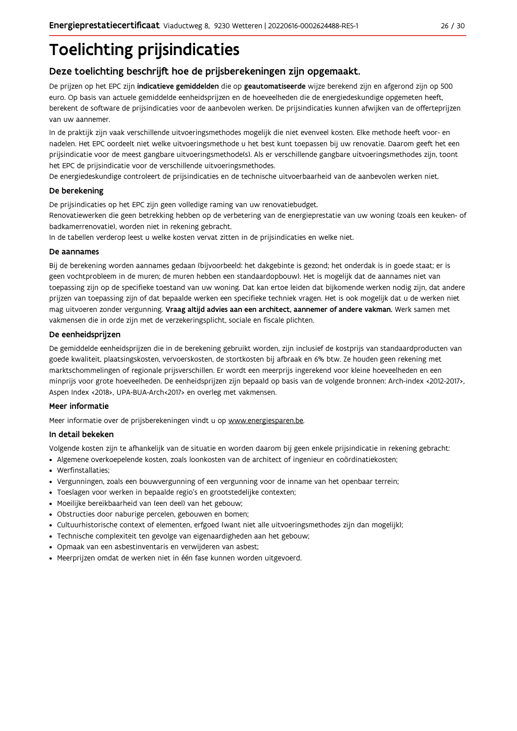# **Toelichting prijsindicaties**

## Deze toelichting beschrijft hoe de prijsberekeningen zijn opgemaakt.

De prijzen op het EPC zijn indicatieve gemiddelden die op geautomatiseerde wijze berekend zijn en afgerond zijn op 500 euro. Op basis van actuele gemiddelde eenheidsprijzen en de hoeveelheden die de energiedeskundige opgemeten heeft, berekent de software de prijsindicaties voor de aanbevolen werken. De prijsindicaties kunnen afwijken van de offerteprijzen van uw aannemer.

In de praktijk zijn vaak verschillende uitvoeringsmethodes mogelijk die niet evenveel kosten. Elke methode heeft voor- en nadelen. Het EPC oordeelt niet welke uitvoeringsmethode u het best kunt toepassen bij uw renovatie. Daarom geeft het een prijsindicatie voor de meest gangbare uitvoeringsmethode(s). Als er verschillende gangbare uitvoeringsmethodes zijn, toont het EPC de prijsindicatie voor de verschillende uitvoeringsmethodes.

De energiedeskundige controleert de prijsindicaties en de technische uitvoerbaarheid van de aanbevolen werken niet.

#### De berekening

De prijsindicaties op het EPC zijn geen volledige raming van uw renovatiebudget.

Renovatiewerken die geen betrekking hebben op de verbetering van de energieprestatie van uw woning (zoals een keuken- of badkamerrenovatie), worden niet in rekening gebracht.

In de tabellen verderop leest u welke kosten vervat zitten in de prijsindicaties en welke niet.

#### De aannames

Bij de berekening worden aannames gedaan (bijvoorbeeld: het dakgebinte is gezond; het onderdak is in goede staat; er is geen vochtprobleem in de muren; de muren hebben een standaardopbouw). Het is mogelijk dat de aannames niet van toepassing zijn op de specifieke toestand van uw woning. Dat kan ertoe leiden dat bijkomende werken nodig zijn, dat andere prijzen van toepassing zijn of dat bepaalde werken een specifieke techniek vragen. Het is ook mogelijk dat u de werken niet mag uitvoeren zonder vergunning. Vraag altijd advies aan een architect, aannemer of andere vakman. Werk samen met vakmensen die in orde zijn met de verzekeringsplicht, sociale en fiscale plichten.

#### De eenheidsprijzen

De gemiddelde eenheidspriizen die in de berekening gebruikt worden, zijn inclusief de kostpriis van standaardproducten van goede kwaliteit, plaatsingskosten, vervoerskosten, de stortkosten bij afbraak en 6% btw. Ze houden geen rekening met marktschommelingen of regionale prijsverschillen. Er wordt een meerprijs ingerekend voor kleine hoeveelheden en een minprijs voor grote hoeveelheden. De eenheidsprijzen zijn bepaald op basis van de volgende bronnen: Arch-index <2012-2017>, Aspen Index <2018>, UPA-BUA-Arch<2017> en overleg met vakmensen.

#### Meer informatie

Meer informatie over de prijsberekeningen vindt u op www.energiesparen.be.

#### In detail bekeken

Volgende kosten zijn te afhankelijk van de situatie en worden daarom bij geen enkele prijsindicatie in rekening gebracht:

- Algemene overkoepelende kosten, zoals loonkosten van de architect of ingenieur en coördinatiekosten;
- Werfinstallaties:
- · Vergunningen, zoals een bouwvergunning of een vergunning voor de inname van het openbaar terrein;
- Toeslagen voor werken in bepaalde regio's en grootstedelijke contexten:
- · Moeilijke bereikbaarheid van (een deel) van het gebouw;
- · Obstructies door naburige percelen, gebouwen en bomen;
- · Cultuurhistorische context of elementen, erfgoed (want niet alle uitvoeringsmethodes zijn dan mogelijk);
- · Technische complexiteit ten gevolge van eigenaardigheden aan het gebouw;
- · Opmaak van een asbestinventaris en verwijderen van asbest;
- · Meerprijzen omdat de werken niet in één fase kunnen worden uitgevoerd.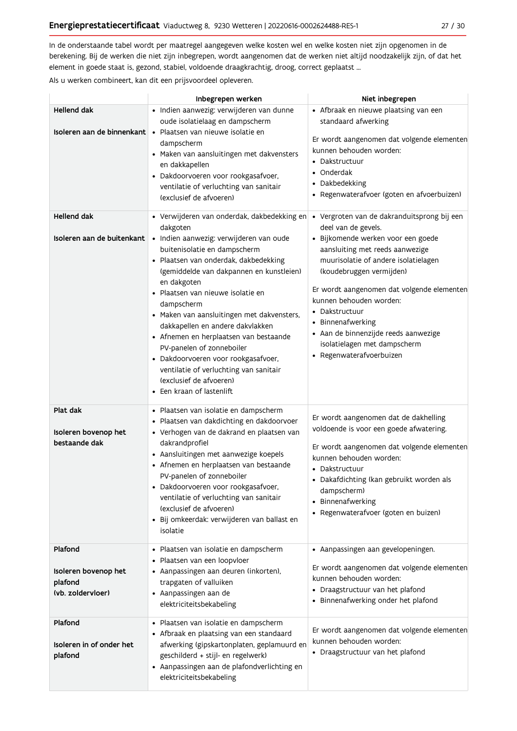In de onderstaande tabel wordt per maatregel aangegeven welke kosten wel en welke kosten niet zijn opgenomen in de berekening. Bij de werken die niet zijn inbegrepen, wordt aangenomen dat de werken niet altijd noodzakelijk zijn, of dat het element in goede staat is, gezond, stabiel, voldoende draagkrachtig, droog, correct geplaatst ...

Als u werken combineert, kan dit een prijsvoordeel opleveren.

|                                                                 | Inbegrepen werken                                                                                                                                                                                                                                                                                                                                                                                                                                                                                                                                                                           | Niet inbegrepen                                                                                                                                                                                                                                                                                                                                                                                                                     |
|-----------------------------------------------------------------|---------------------------------------------------------------------------------------------------------------------------------------------------------------------------------------------------------------------------------------------------------------------------------------------------------------------------------------------------------------------------------------------------------------------------------------------------------------------------------------------------------------------------------------------------------------------------------------------|-------------------------------------------------------------------------------------------------------------------------------------------------------------------------------------------------------------------------------------------------------------------------------------------------------------------------------------------------------------------------------------------------------------------------------------|
| Hellend dak<br>Isoleren aan de binnenkant                       | · Indien aanwezig: verwijderen van dunne<br>oude isolatielaag en dampscherm<br>· Plaatsen van nieuwe isolatie en<br>dampscherm<br>· Maken van aansluitingen met dakvensters<br>en dakkapellen<br>· Dakdoorvoeren voor rookgasafvoer,<br>ventilatie of verluchting van sanitair<br>(exclusief de afvoeren)                                                                                                                                                                                                                                                                                   | • Afbraak en nieuwe plaatsing van een<br>standaard afwerking<br>Er wordt aangenomen dat volgende elementen<br>kunnen behouden worden:<br>• Dakstructuur<br>• Onderdak<br>• Dakbedekking<br>· Regenwaterafvoer (goten en afvoerbuizen)                                                                                                                                                                                               |
| <b>Hellend dak</b><br>Isoleren aan de buitenkant                | • Verwijderen van onderdak, dakbedekking en<br>dakgoten<br>· Indien aanwezig: verwijderen van oude<br>buitenisolatie en dampscherm<br>· Plaatsen van onderdak, dakbedekking<br>(gemiddelde van dakpannen en kunstleien)<br>en dakgoten<br>· Plaatsen van nieuwe isolatie en<br>dampscherm<br>· Maken van aansluitingen met dakvensters,<br>dakkapellen en andere dakvlakken<br>• Afnemen en herplaatsen van bestaande<br>PV-panelen of zonneboiler<br>· Dakdoorvoeren voor rookgasafvoer,<br>ventilatie of verluchting van sanitair<br>(exclusief de afvoeren)<br>• Een kraan of lastenlift | · Vergroten van de dakranduitsprong bij een<br>deel van de gevels.<br>· Bijkomende werken voor een goede<br>aansluiting met reeds aanwezige<br>muurisolatie of andere isolatielagen<br>(koudebruggen vermijden)<br>Er wordt aangenomen dat volgende elementen<br>kunnen behouden worden:<br>• Dakstructuur<br>• Binnenafwerking<br>· Aan de binnenzijde reeds aanwezige<br>isolatielagen met dampscherm<br>· Regenwaterafvoerbuizen |
| Plat dak<br>Isoleren bovenop het<br>bestaande dak               | · Plaatsen van isolatie en dampscherm<br>· Plaatsen van dakdichting en dakdoorvoer<br>· Verhogen van de dakrand en plaatsen van<br>dakrandprofiel<br>• Aansluitingen met aanwezige koepels<br>• Afnemen en herplaatsen van bestaande<br>PV-panelen of zonneboiler<br>· Dakdoorvoeren voor rookgasafvoer,<br>ventilatie of verluchting van sanitair<br>(exclusief de afvoeren)<br>· Bij omkeerdak: verwijderen van ballast en<br>isolatie                                                                                                                                                    | Er wordt aangenomen dat de dakhelling<br>voldoende is voor een goede afwatering.<br>Er wordt aangenomen dat volgende elementen<br>kunnen behouden worden:<br>• Dakstructuur<br>• Dakafdichting (kan gebruikt worden als<br>dampscherm)<br>• Binnenafwerking<br>• Regenwaterafvoer (goten en buizen)                                                                                                                                 |
| Plafond<br>Isoleren bovenop het<br>plafond<br>(vb. zoldervloer) | · Plaatsen van isolatie en dampscherm<br>· Plaatsen van een loopvloer<br>• Aanpassingen aan deuren (inkorten),<br>trapgaten of valluiken<br>• Aanpassingen aan de<br>elektriciteitsbekabeling                                                                                                                                                                                                                                                                                                                                                                                               | • Aanpassingen aan gevelopeningen.<br>Er wordt aangenomen dat volgende elementen<br>kunnen behouden worden:<br>• Draagstructuur van het plafond<br>• Binnenafwerking onder het plafond                                                                                                                                                                                                                                              |
| Plafond<br>Isoleren in of onder het<br>plafond                  | · Plaatsen van isolatie en dampscherm<br>• Afbraak en plaatsing van een standaard<br>afwerking (gipskartonplaten, geplamuurd en<br>geschilderd + stijl- en regelwerk)<br>• Aanpassingen aan de plafondverlichting en<br>elektriciteitsbekabeling                                                                                                                                                                                                                                                                                                                                            | Er wordt aangenomen dat volgende elementen<br>kunnen behouden worden:<br>• Draagstructuur van het plafond                                                                                                                                                                                                                                                                                                                           |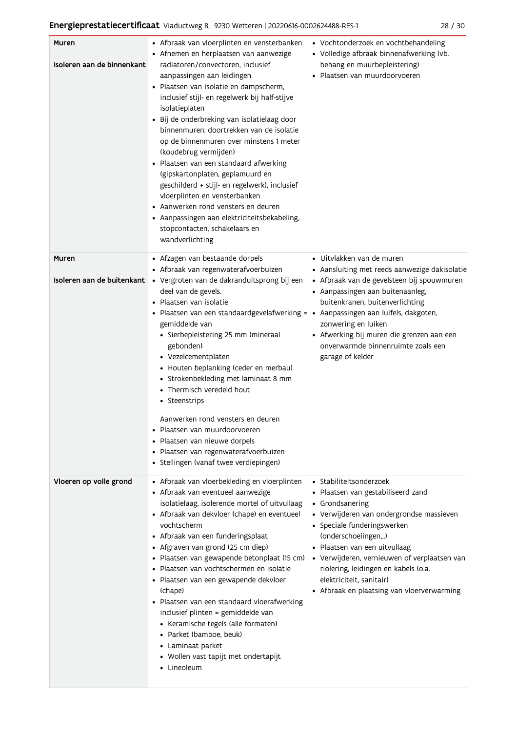| Muren<br>Isoleren aan de binnenkant | • Afbraak van vloerplinten en vensterbanken<br>• Afnemen en herplaatsen van aanwezige<br>radiatoren/convectoren, inclusief<br>aanpassingen aan leidingen<br>· Plaatsen van isolatie en dampscherm,<br>inclusief stijl- en regelwerk bij half-stijve<br>isolatieplaten<br>Bij de onderbreking van isolatielaag door<br>binnenmuren: doortrekken van de isolatie<br>op de binnenmuren over minstens 1 meter<br>(koudebrug vermijden)<br>· Plaatsen van een standaard afwerking<br>(gipskartonplaten, geplamuurd en<br>geschilderd + stijl- en regelwerk), inclusief<br>vloerplinten en vensterbanken<br>• Aanwerken rond vensters en deuren<br>• Aanpassingen aan elektriciteitsbekabeling,<br>stopcontacten, schakelaars en<br>wandverlichting | • Vochtonderzoek en vochtbehandeling<br>• Volledige afbraak binnenafwerking (vb.<br>behang en muurbepleistering)<br>· Plaatsen van muurdoorvoeren                                                                                                                                                                                                                                     |
|-------------------------------------|-----------------------------------------------------------------------------------------------------------------------------------------------------------------------------------------------------------------------------------------------------------------------------------------------------------------------------------------------------------------------------------------------------------------------------------------------------------------------------------------------------------------------------------------------------------------------------------------------------------------------------------------------------------------------------------------------------------------------------------------------|---------------------------------------------------------------------------------------------------------------------------------------------------------------------------------------------------------------------------------------------------------------------------------------------------------------------------------------------------------------------------------------|
| Muren<br>Isoleren aan de buitenkant | • Afzagen van bestaande dorpels<br>• Afbraak van regenwaterafvoerbuizen<br>· Vergroten van de dakranduitsprong bij een<br>deel van de gevels.<br>Plaatsen van isolatie                                                                                                                                                                                                                                                                                                                                                                                                                                                                                                                                                                        | • Uitvlakken van de muren<br>• Aansluiting met reeds aanwezige dakisolatie<br>• Afbraak van de gevelsteen bij spouwmuren<br>• Aanpassingen aan buitenaanleg,<br>buitenkranen, buitenverlichting                                                                                                                                                                                       |
|                                     | Plaatsen van een standaardgevelafwerking =<br>gemiddelde van<br>· Sierbepleistering 25 mm (mineraal<br>gebonden)<br>• Vezelcementplaten<br>• Houten beplanking (ceder en merbau)<br>• Strokenbekleding met laminaat 8 mm<br>• Thermisch veredeld hout<br>• Steenstrips<br>Aanwerken rond vensters en deuren<br>Plaatsen van muurdoorvoeren<br>Plaatsen van nieuwe dorpels                                                                                                                                                                                                                                                                                                                                                                     | • Aanpassingen aan luifels, dakgoten,<br>zonwering en luiken<br>• Afwerking bij muren die grenzen aan een<br>onverwarmde binnenruimte zoals een<br>garage of kelder                                                                                                                                                                                                                   |
|                                     | · Plaatsen van regenwaterafvoerbuizen<br>· Stellingen (vanaf twee verdiepingen)                                                                                                                                                                                                                                                                                                                                                                                                                                                                                                                                                                                                                                                               |                                                                                                                                                                                                                                                                                                                                                                                       |
| Vloeren op volle grond              | • Afbraak van vloerbekleding en vloerplinten<br>• Afbraak van eventueel aanwezige<br>isolatielaag, isolerende mortel of uitvullaag<br>• Afbraak van dekvloer (chape) en eventueel<br>vochtscherm<br>• Afbraak van een funderingsplaat<br>• Afgraven van grond (25 cm diep)<br>· Plaatsen van gewapende betonplaat (15 cm)<br>Plaatsen van vochtschermen en isolatie<br>• Plaatsen van een gewapende dekvloer<br>(chape)<br>· Plaatsen van een standaard vloerafwerking<br>inclusief plinten = gemiddelde van<br>• Keramische tegels (alle formaten)<br>• Parket (bamboe, beuk)<br>• Laminaat parket<br>• Wollen vast tapijt met ondertapijt<br>• Lineoleum                                                                                    | • Stabiliteitsonderzoek<br>· Plaatsen van gestabiliseerd zand<br>• Grondsanering<br>· Verwijderen van ondergrondse massieven<br>• Speciale funderingswerken<br>(onderschoeiingen,)<br>· Plaatsen van een uitvullaag<br>• Verwijderen, vernieuwen of verplaatsen van<br>riolering, leidingen en kabels (o.a.<br>elektriciteit, sanitair)<br>• Afbraak en plaatsing van vloerverwarming |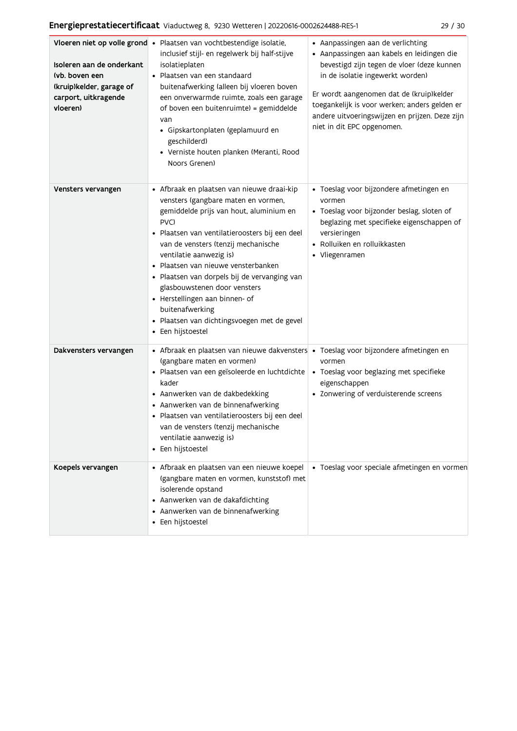|--|--|--|

| Isoleren aan de onderkant<br>(vb. boven een<br>(kruip)kelder, garage of<br>carport, uitkragende<br>vloeren) | Vloeren niet op volle grond • Plaatsen van vochtbestendige isolatie,<br>inclusief stijl- en regelwerk bij half-stijve<br>isolatieplaten<br>• Plaatsen van een standaard<br>buitenafwerking (alleen bij vloeren boven<br>een onverwarmde ruimte, zoals een garage<br>of boven een buitenruimte) = gemiddelde<br>van<br>· Gipskartonplaten (geplamuurd en<br>geschilderd)<br>· Verniste houten planken (Meranti, Rood<br>Noors Grenen)                                                                     | • Aanpassingen aan de verlichting<br>· Aanpassingen aan kabels en leidingen die<br>bevestigd zijn tegen de vloer (deze kunnen<br>in de isolatie ingewerkt worden)<br>Er wordt aangenomen dat de (kruip)kelder<br>toegankelijk is voor werken; anders gelden er<br>andere uitvoeringswijzen en prijzen. Deze zijn<br>niet in dit EPC opgenomen. |
|-------------------------------------------------------------------------------------------------------------|----------------------------------------------------------------------------------------------------------------------------------------------------------------------------------------------------------------------------------------------------------------------------------------------------------------------------------------------------------------------------------------------------------------------------------------------------------------------------------------------------------|------------------------------------------------------------------------------------------------------------------------------------------------------------------------------------------------------------------------------------------------------------------------------------------------------------------------------------------------|
| Vensters vervangen                                                                                          | • Afbraak en plaatsen van nieuwe draai-kip<br>vensters (gangbare maten en vormen,<br>gemiddelde prijs van hout, aluminium en<br>PVC)<br>· Plaatsen van ventilatieroosters bij een deel<br>van de vensters (tenzij mechanische<br>ventilatie aanwezig is)<br>• Plaatsen van nieuwe vensterbanken<br>· Plaatsen van dorpels bij de vervanging van<br>glasbouwstenen door vensters<br>• Herstellingen aan binnen- of<br>buitenafwerking<br>· Plaatsen van dichtingsvoegen met de gevel<br>• Een hijstoestel | · Toeslag voor bijzondere afmetingen en<br>vormen<br>· Toeslag voor bijzonder beslag, sloten of<br>beglazing met specifieke eigenschappen of<br>versieringen<br>· Rolluiken en rolluikkasten<br>• Vliegenramen                                                                                                                                 |
| Dakvensters vervangen                                                                                       | • Afbraak en plaatsen van nieuwe dakvensters • Toeslag voor bijzondere afmetingen en<br>(gangbare maten en vormen)<br>· Plaatsen van een geïsoleerde en luchtdichte<br>kader<br>• Aanwerken van de dakbedekking<br>• Aanwerken van de binnenafwerking<br>· Plaatsen van ventilatieroosters bij een deel<br>van de vensters (tenzij mechanische<br>ventilatie aanwezig is)<br>• Een hijstoestel                                                                                                           | vormen<br>• Toeslag voor beglazing met specifieke<br>eigenschappen<br>• Zonwering of verduisterende screens                                                                                                                                                                                                                                    |
| Koepels vervangen                                                                                           | • Afbraak en plaatsen van een nieuwe koepel<br>(gangbare maten en vormen, kunststof) met<br>isolerende opstand<br>• Aanwerken van de dakafdichting<br>• Aanwerken van de binnenafwerking<br>• Een hijstoestel                                                                                                                                                                                                                                                                                            | · Toeslag voor speciale afmetingen en vormen                                                                                                                                                                                                                                                                                                   |